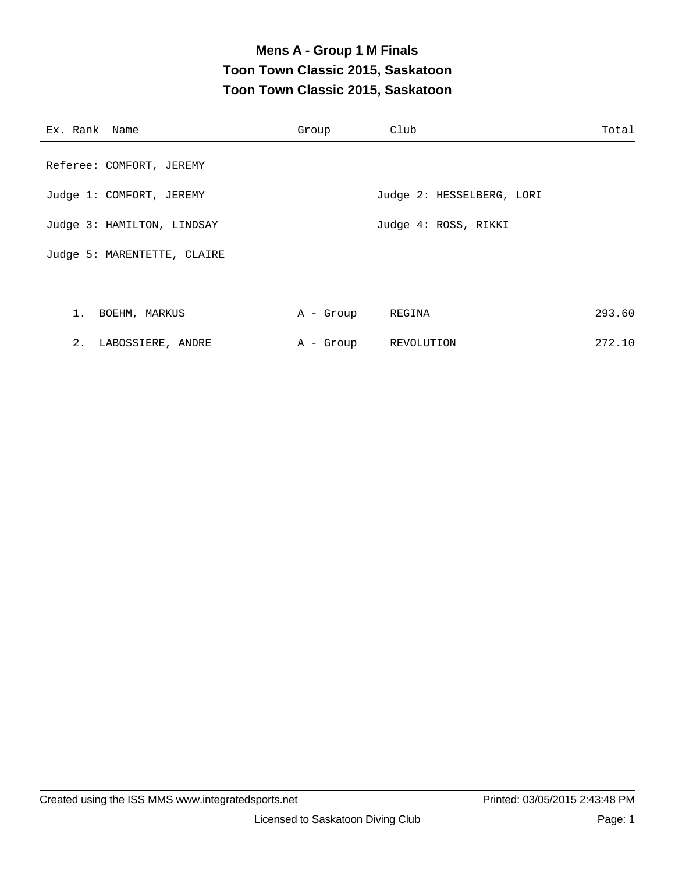### **Mens A - Group 1 M Finals Toon Town Classic 2015, Saskatoon Toon Town Classic 2015, Saskatoon**

| Ex. Rank Name               | Group     | Club                      | Total  |
|-----------------------------|-----------|---------------------------|--------|
| Referee: COMFORT, JEREMY    |           |                           |        |
| Judge 1: COMFORT, JEREMY    |           | Judge 2: HESSELBERG, LORI |        |
| Judge 3: HAMILTON, LINDSAY  |           | Judge 4: ROSS, RIKKI      |        |
| Judge 5: MARENTETTE, CLAIRE |           |                           |        |
|                             |           |                           |        |
| 1. BOEHM, MARKUS            | A - Group | REGINA                    | 293.60 |
| 2. LABOSSIERE, ANDRE        |           | A - Group REVOLUTION      | 272.10 |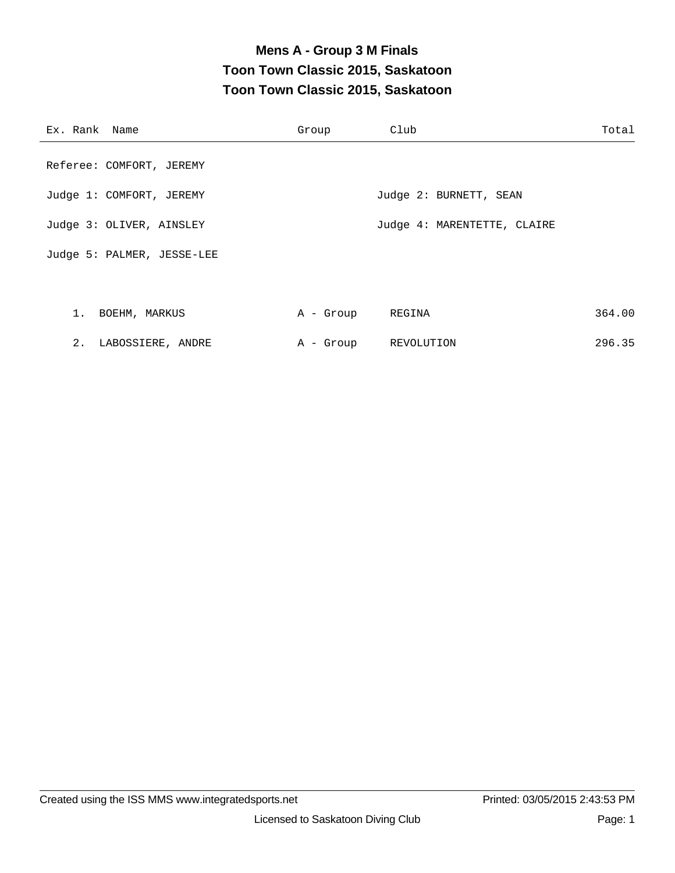### **Mens A - Group 3 M Finals Toon Town Classic 2015, Saskatoon Toon Town Classic 2015, Saskatoon**

| Ex. Rank Name              | Group     | Club                        | Total  |
|----------------------------|-----------|-----------------------------|--------|
| Referee: COMFORT, JEREMY   |           |                             |        |
| Judge 1: COMFORT, JEREMY   |           | Judge 2: BURNETT, SEAN      |        |
| Judge 3: OLIVER, AINSLEY   |           | Judge 4: MARENTETTE, CLAIRE |        |
| Judge 5: PALMER, JESSE-LEE |           |                             |        |
|                            |           |                             |        |
| 1. BOEHM, MARKUS           | A - Group | REGINA                      | 364.00 |
| 2. LABOSSIERE, ANDRE       |           | A - Group REVOLUTION        | 296.35 |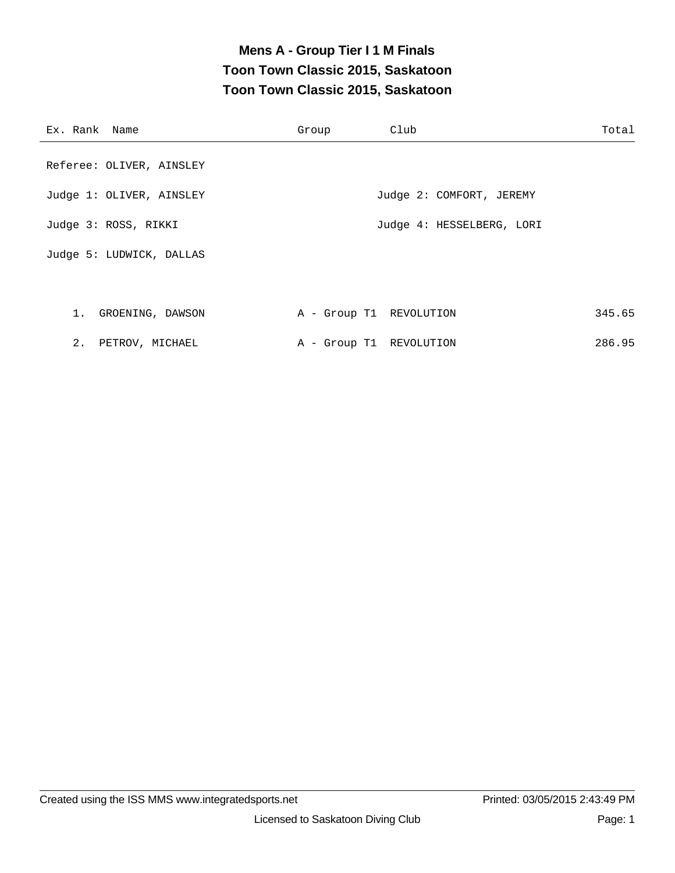### **Mens A - Group Tier I 1 M Finals Toon Town Classic 2015, Saskatoon Toon Town Classic 2015, Saskatoon**

| Ex. Rank Name            | Group                   | Club                      | Total  |
|--------------------------|-------------------------|---------------------------|--------|
| Referee: OLIVER, AINSLEY |                         |                           |        |
| Judge 1: OLIVER, AINSLEY |                         | Judge 2: COMFORT, JEREMY  |        |
| Judge 3: ROSS, RIKKI     |                         | Judge 4: HESSELBERG, LORI |        |
| Judge 5: LUDWICK, DALLAS |                         |                           |        |
|                          |                         |                           |        |
| 1. GROENING, DAWSON      | A - Group T1 REVOLUTION |                           | 345.65 |
| 2. PETROV, MICHAEL       | A - Group T1 REVOLUTION |                           | 286.95 |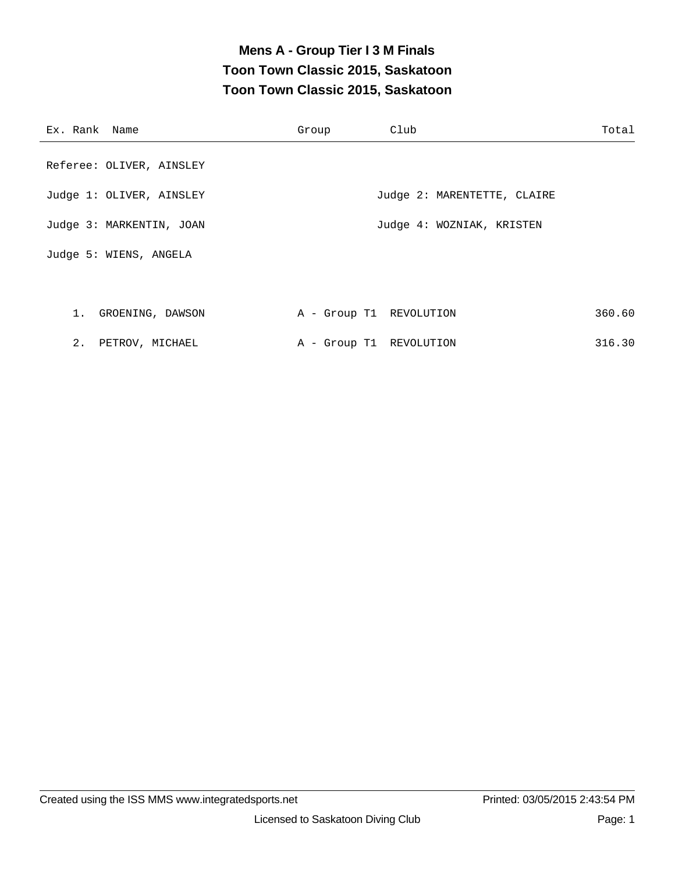### **Mens A - Group Tier I 3 M Finals Toon Town Classic 2015, Saskatoon Toon Town Classic 2015, Saskatoon**

| Ex. Rank Name            | Group                   | Club                        | Total  |
|--------------------------|-------------------------|-----------------------------|--------|
| Referee: OLIVER, AINSLEY |                         |                             |        |
| Judge 1: OLIVER, AINSLEY |                         | Judge 2: MARENTETTE, CLAIRE |        |
| Judge 3: MARKENTIN, JOAN |                         | Judge 4: WOZNIAK, KRISTEN   |        |
| Judge 5: WIENS, ANGELA   |                         |                             |        |
|                          |                         |                             |        |
| 1. GROENING, DAWSON      | A - Group T1 REVOLUTION |                             | 360.60 |
| 2. PETROV, MICHAEL       | A - Group T1 REVOLUTION |                             | 316.30 |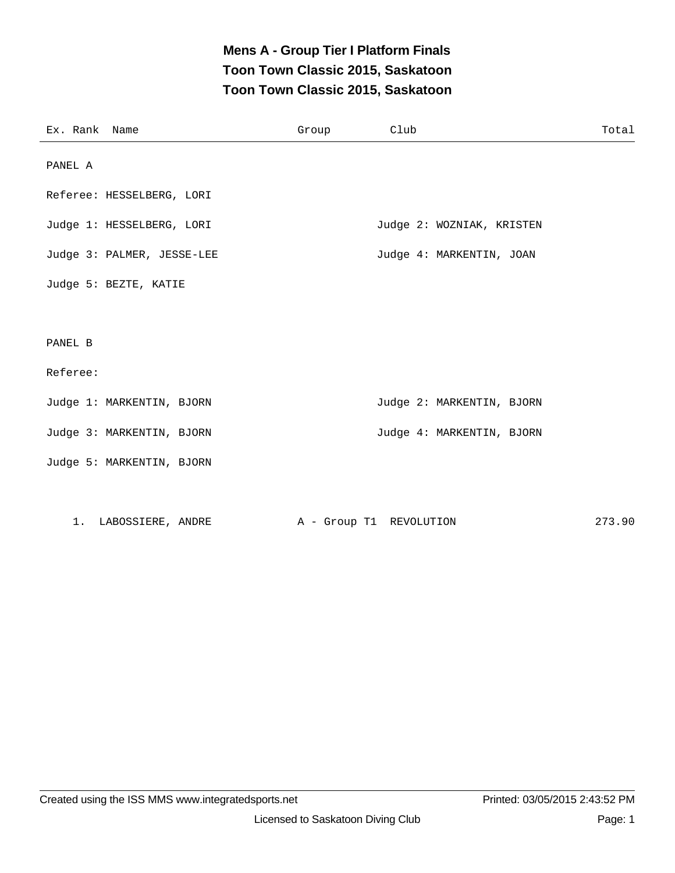### **Mens A - Group Tier I Platform Finals Toon Town Classic 2015, Saskatoon Toon Town Classic 2015, Saskatoon**

| Ex. Rank Name |                            | Group | Club                      | Total  |
|---------------|----------------------------|-------|---------------------------|--------|
| PANEL A       |                            |       |                           |        |
|               | Referee: HESSELBERG, LORI  |       |                           |        |
|               | Judge 1: HESSELBERG, LORI  |       | Judge 2: WOZNIAK, KRISTEN |        |
|               | Judge 3: PALMER, JESSE-LEE |       | Judge 4: MARKENTIN, JOAN  |        |
|               | Judge 5: BEZTE, KATIE      |       |                           |        |
|               |                            |       |                           |        |
| PANEL B       |                            |       |                           |        |
| Referee:      |                            |       |                           |        |
|               | Judge 1: MARKENTIN, BJORN  |       | Judge 2: MARKENTIN, BJORN |        |
|               | Judge 3: MARKENTIN, BJORN  |       | Judge 4: MARKENTIN, BJORN |        |
|               | Judge 5: MARKENTIN, BJORN  |       |                           |        |
|               |                            |       |                           |        |
|               | 1. LABOSSIERE, ANDRE       |       | A - Group T1 REVOLUTION   | 273.90 |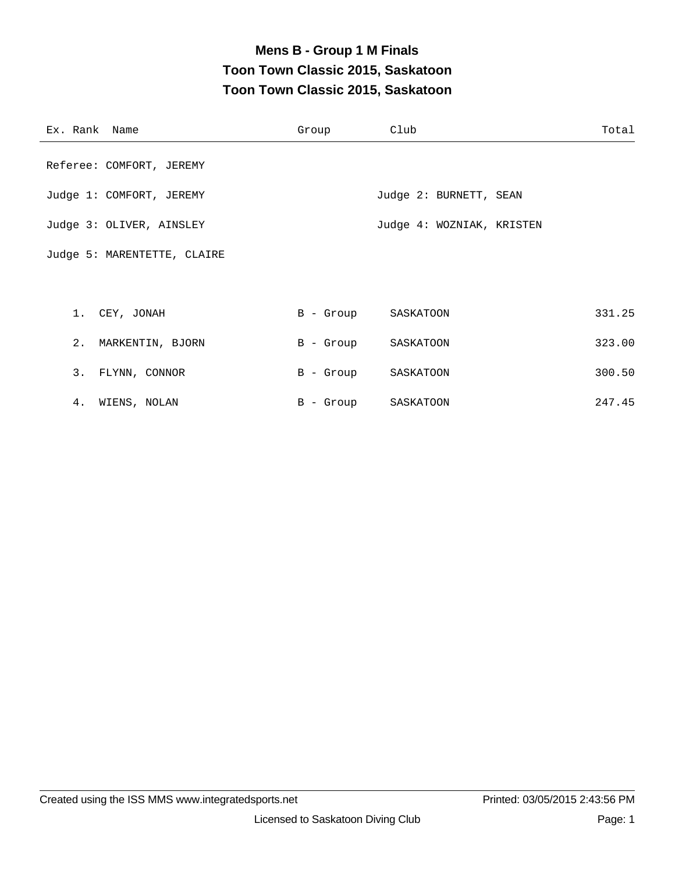# **Mens B - Group 1 M Finals Toon Town Classic 2015, Saskatoon Toon Town Classic 2015, Saskatoon**

| Ex. Rank Name               | Group     | Club                      | Total  |
|-----------------------------|-----------|---------------------------|--------|
| Referee: COMFORT, JEREMY    |           |                           |        |
| Judge 1: COMFORT, JEREMY    |           | Judge 2: BURNETT, SEAN    |        |
| Judge 3: OLIVER, AINSLEY    |           | Judge 4: WOZNIAK, KRISTEN |        |
| Judge 5: MARENTETTE, CLAIRE |           |                           |        |
|                             |           |                           |        |
| 1. CEY, JONAH               |           | B - Group SASKATOON       | 331.25 |
| 2. MARKENTIN, BJORN         | B - Group | SASKATOON                 | 323.00 |
| 3. FLYNN, CONNOR            |           | B - Group SASKATOON       | 300.50 |
| 4. WIENS, NOLAN             |           | B - Group SASKATOON       | 247.45 |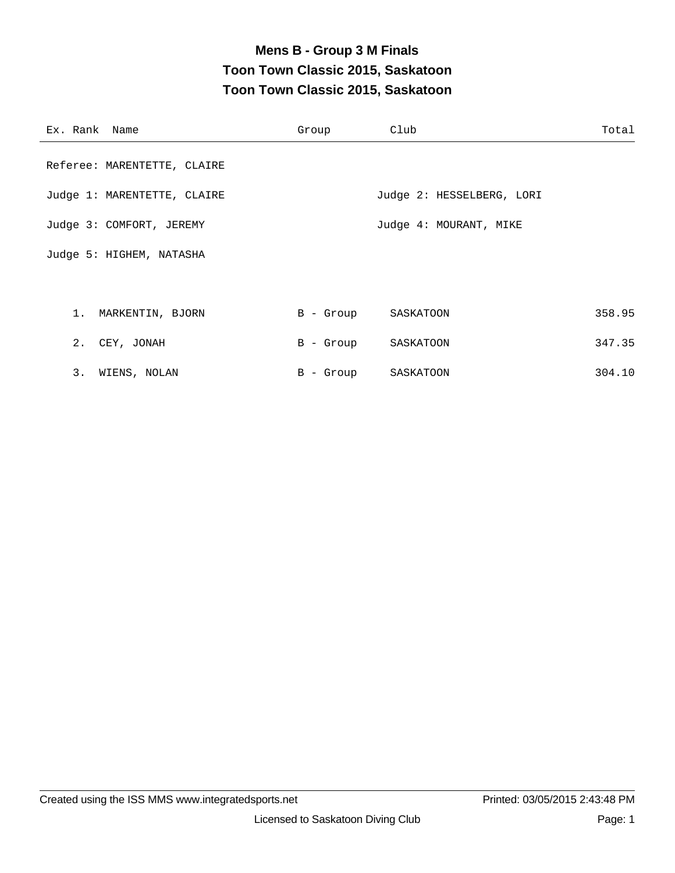# **Mens B - Group 3 M Finals Toon Town Classic 2015, Saskatoon Toon Town Classic 2015, Saskatoon**

| Ex. Rank Name               | Group     | Club                      | Total  |
|-----------------------------|-----------|---------------------------|--------|
| Referee: MARENTETTE, CLAIRE |           |                           |        |
| Judge 1: MARENTETTE, CLAIRE |           | Judge 2: HESSELBERG, LORI |        |
| Judge 3: COMFORT, JEREMY    |           | Judge 4: MOURANT, MIKE    |        |
| Judge 5: HIGHEM, NATASHA    |           |                           |        |
|                             |           |                           |        |
| 1. MARKENTIN, BJORN         |           | B - Group SASKATOON       | 358.95 |
| 2. CEY, JONAH               | B - Group | SASKATOON                 | 347.35 |
| 3. WIENS, NOLAN             | B - Group | SASKATOON                 | 304.10 |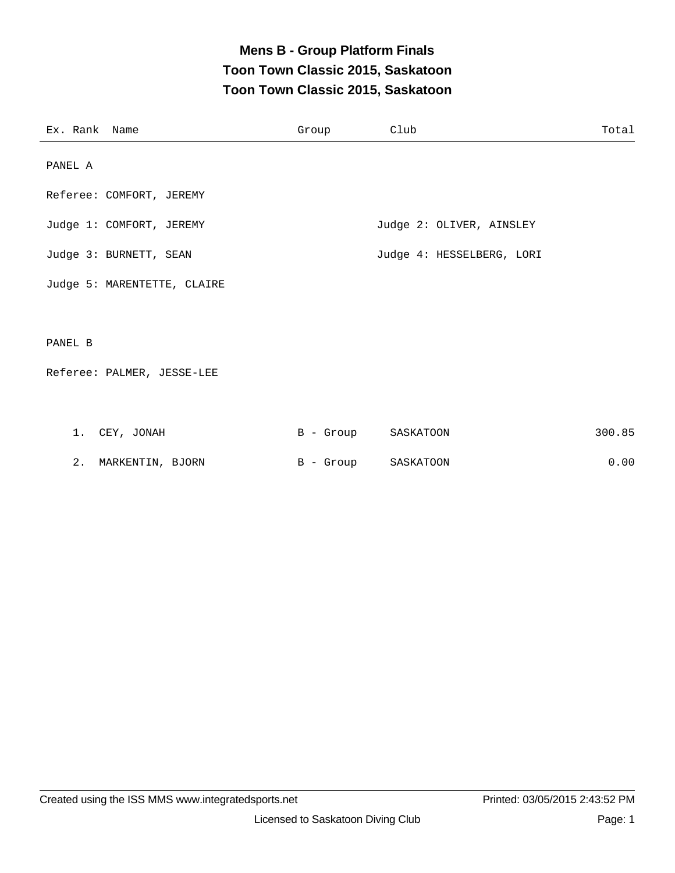### **Mens B - Group Platform Finals Toon Town Classic 2015, Saskatoon Toon Town Classic 2015, Saskatoon**

| Ex. Rank Name |                             | Group | Club                      | Total  |
|---------------|-----------------------------|-------|---------------------------|--------|
| PANEL A       |                             |       |                           |        |
|               | Referee: COMFORT, JEREMY    |       |                           |        |
|               | Judge 1: COMFORT, JEREMY    |       | Judge 2: OLIVER, AINSLEY  |        |
|               | Judge 3: BURNETT, SEAN      |       | Judge 4: HESSELBERG, LORI |        |
|               | Judge 5: MARENTETTE, CLAIRE |       |                           |        |
|               |                             |       |                           |        |
| PANEL B       |                             |       |                           |        |
|               | Referee: PALMER, JESSE-LEE  |       |                           |        |
|               |                             |       |                           |        |
|               | 1. CEY, JONAH               |       | B - Group SASKATOON       | 300.85 |

2. MARKENTIN, BJORN B - Group SASKATOON 0.00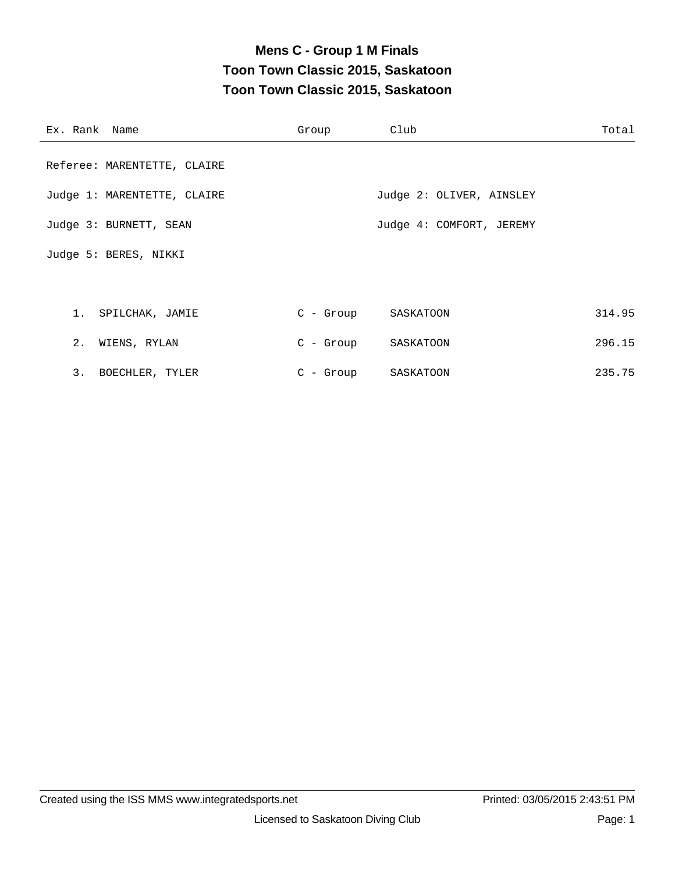# **Mens C - Group 1 M Finals Toon Town Classic 2015, Saskatoon Toon Town Classic 2015, Saskatoon**

| Ex. Rank Name               | Group       | Club                     | Total  |
|-----------------------------|-------------|--------------------------|--------|
| Referee: MARENTETTE, CLAIRE |             |                          |        |
| Judge 1: MARENTETTE, CLAIRE |             | Judge 2: OLIVER, AINSLEY |        |
| Judge 3: BURNETT, SEAN      |             | Judge 4: COMFORT, JEREMY |        |
| Judge 5: BERES, NIKKI       |             |                          |        |
|                             |             |                          |        |
| 1. SPILCHAK, JAMIE          |             | C - Group SASKATOON      | 314.95 |
| 2. WIENS, RYLAN             |             | C - Group SASKATOON      | 296.15 |
| 3. BOECHLER, TYLER          | $C - Group$ | SASKATOON                | 235.75 |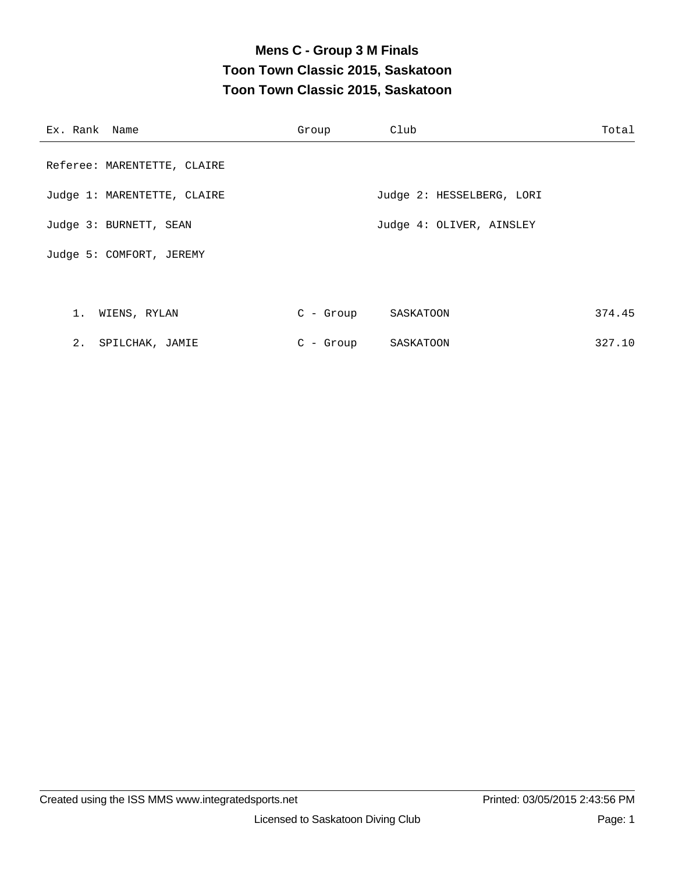# **Mens C - Group 3 M Finals Toon Town Classic 2015, Saskatoon Toon Town Classic 2015, Saskatoon**

| Ex. Rank Name               | Group       | Club                      | Total  |
|-----------------------------|-------------|---------------------------|--------|
| Referee: MARENTETTE, CLAIRE |             |                           |        |
| Judge 1: MARENTETTE, CLAIRE |             | Judge 2: HESSELBERG, LORI |        |
| Judge 3: BURNETT, SEAN      |             | Judge 4: OLIVER, AINSLEY  |        |
| Judge 5: COMFORT, JEREMY    |             |                           |        |
|                             |             |                           |        |
| 1. WIENS, RYLAN             | C - Group   | SASKATOON                 | 374.45 |
| 2. SPILCHAK, JAMIE          | $C$ - Group | SASKATOON                 | 327.10 |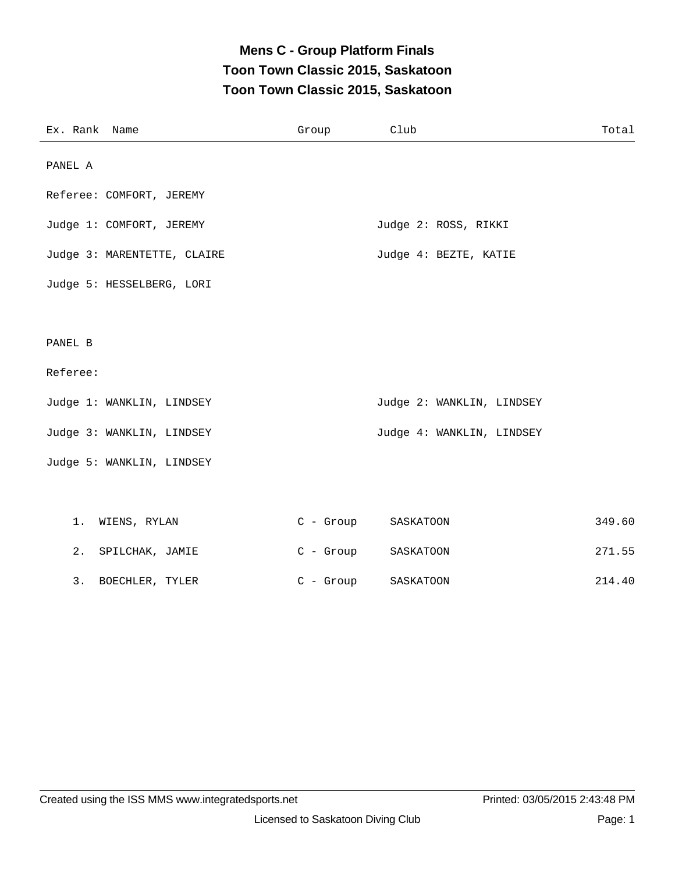### **Mens C - Group Platform Finals Toon Town Classic 2015, Saskatoon Toon Town Classic 2015, Saskatoon**

| Ex. Rank Name               | Group       | Club                      | Total  |
|-----------------------------|-------------|---------------------------|--------|
| PANEL A                     |             |                           |        |
| Referee: COMFORT, JEREMY    |             |                           |        |
| Judge 1: COMFORT, JEREMY    |             | Judge 2: ROSS, RIKKI      |        |
| Judge 3: MARENTETTE, CLAIRE |             | Judge 4: BEZTE, KATIE     |        |
| Judge 5: HESSELBERG, LORI   |             |                           |        |
|                             |             |                           |        |
| PANEL B                     |             |                           |        |
| Referee:                    |             |                           |        |
| Judge 1: WANKLIN, LINDSEY   |             | Judge 2: WANKLIN, LINDSEY |        |
| Judge 3: WANKLIN, LINDSEY   |             | Judge 4: WANKLIN, LINDSEY |        |
| Judge 5: WANKLIN, LINDSEY   |             |                           |        |
|                             |             |                           |        |
| 1.<br>WIENS, RYLAN          | C - Group   | SASKATOON                 | 349.60 |
| 2. SPILCHAK, JAMIE          | $C - Group$ | SASKATOON                 | 271.55 |
| 3. BOECHLER, TYLER          | $C -$ Group | SASKATOON                 | 214.40 |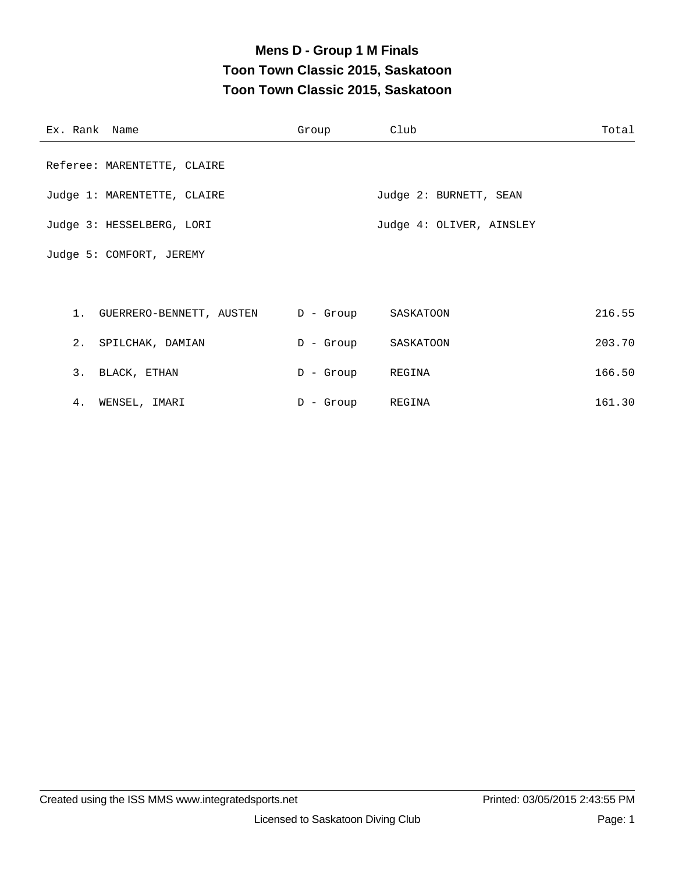# **Mens D - Group 1 M Finals Toon Town Classic 2015, Saskatoon Toon Town Classic 2015, Saskatoon**

| Ex. Rank Name |                                                 | Group            | Club                     | Total  |
|---------------|-------------------------------------------------|------------------|--------------------------|--------|
|               | Referee: MARENTETTE, CLAIRE                     |                  |                          |        |
|               | Judge 1: MARENTETTE, CLAIRE                     |                  | Judge 2: BURNETT, SEAN   |        |
|               | Judge 3: HESSELBERG, LORI                       |                  | Judge 4: OLIVER, AINSLEY |        |
|               | Judge 5: COMFORT, JEREMY                        |                  |                          |        |
|               |                                                 |                  |                          |        |
|               | 1. GUERRERO-BENNETT, AUSTEN D - Group SASKATOON |                  |                          | 216.55 |
|               | 2. SPILCHAK, DAMIAN                             | D - Group        | SASKATOON                | 203.70 |
|               | 3. BLACK, ETHAN                                 | D - Group REGINA |                          | 166.50 |
| 4.            | WENSEL, IMARI                                   | D - Group REGINA |                          | 161.30 |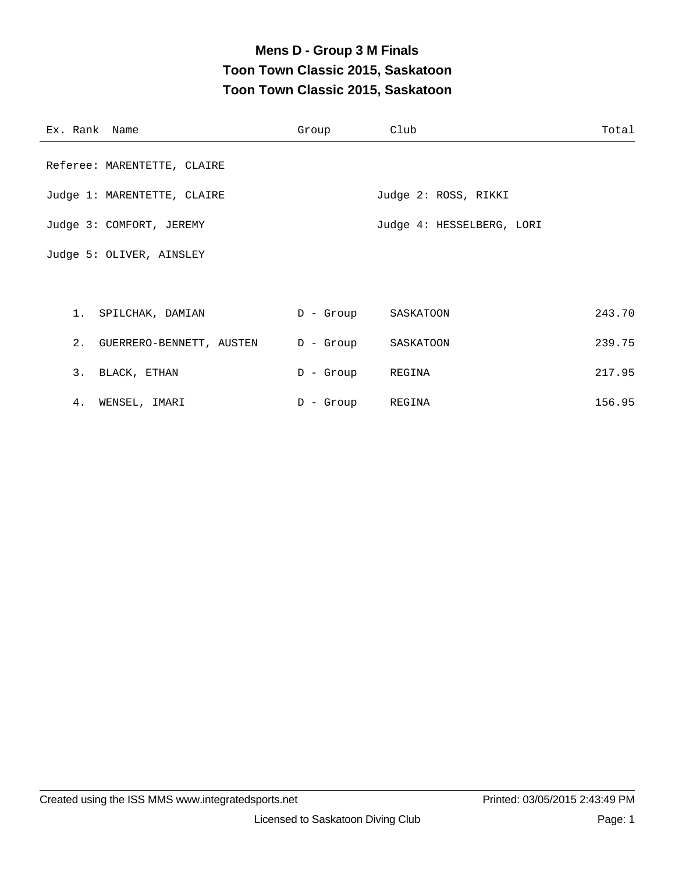# **Mens D - Group 3 M Finals Toon Town Classic 2015, Saskatoon Toon Town Classic 2015, Saskatoon**

| Ex. Rank Name |                                       | Group            | Club                      | Total  |
|---------------|---------------------------------------|------------------|---------------------------|--------|
|               | Referee: MARENTETTE, CLAIRE           |                  |                           |        |
|               | Judge 1: MARENTETTE, CLAIRE           |                  | Judge 2: ROSS, RIKKI      |        |
|               | Judge 3: COMFORT, JEREMY              |                  | Judge 4: HESSELBERG, LORI |        |
|               | Judge 5: OLIVER, AINSLEY              |                  |                           |        |
|               |                                       |                  |                           |        |
|               | 1. SPILCHAK, DAMIAN                   |                  | D - Group SASKATOON       | 243.70 |
|               | 2. GUERRERO-BENNETT, AUSTEN D - Group |                  | SASKATOON                 | 239.75 |
|               | 3. BLACK, ETHAN                       | D - Group REGINA |                           | 217.95 |
|               | 4. WENSEL, IMARI                      | $D -$ Group      | REGINA                    | 156.95 |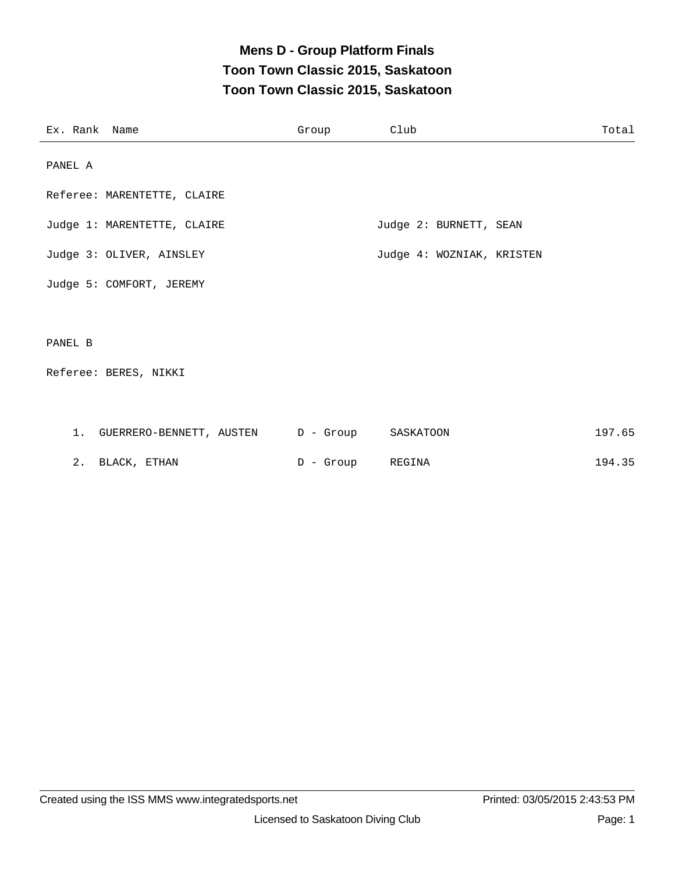### **Mens D - Group Platform Finals Toon Town Classic 2015, Saskatoon Toon Town Classic 2015, Saskatoon**

| Ex. Rank Name |                                                 | Group | Club                      | Total  |
|---------------|-------------------------------------------------|-------|---------------------------|--------|
| PANEL A       |                                                 |       |                           |        |
|               | Referee: MARENTETTE, CLAIRE                     |       |                           |        |
|               | Judge 1: MARENTETTE, CLAIRE                     |       | Judge 2: BURNETT, SEAN    |        |
|               | Judge 3: OLIVER, AINSLEY                        |       | Judge 4: WOZNIAK, KRISTEN |        |
|               | Judge 5: COMFORT, JEREMY                        |       |                           |        |
|               |                                                 |       |                           |        |
| PANEL B       |                                                 |       |                           |        |
|               | Referee: BERES, NIKKI                           |       |                           |        |
|               |                                                 |       |                           |        |
|               | 1. GUERRERO-BENNETT, AUSTEN D - Group SASKATOON |       |                           | 197.65 |

|  | BLACK, ETHAN<br>_______ |  | - Group | REGINA | 194.35<br>the contract of the contract of the contract of the contract of the contract of the contract of the contract of |
|--|-------------------------|--|---------|--------|---------------------------------------------------------------------------------------------------------------------------|
|  |                         |  |         |        |                                                                                                                           |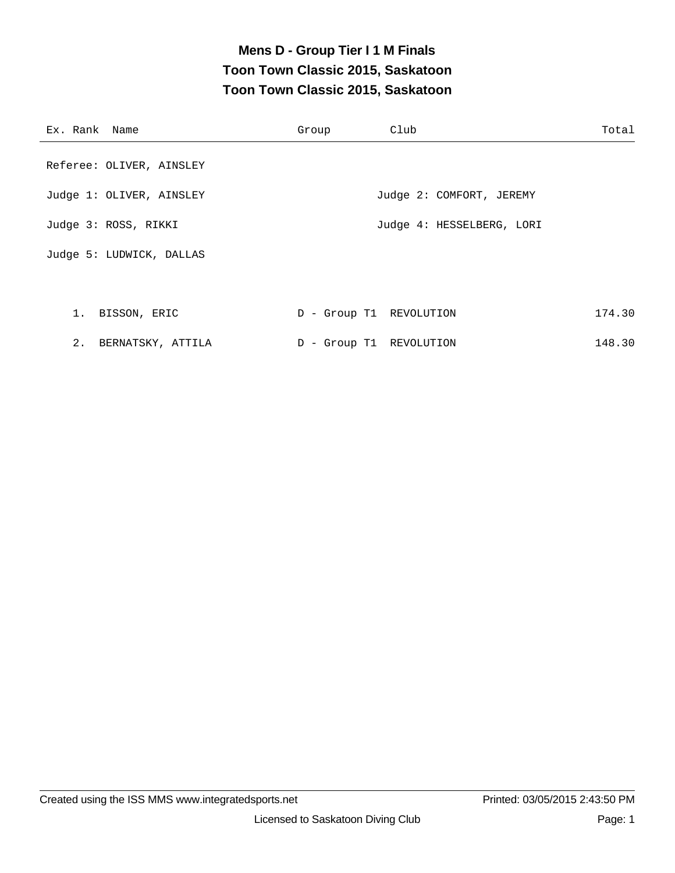### **Mens D - Group Tier I 1 M Finals Toon Town Classic 2015, Saskatoon Toon Town Classic 2015, Saskatoon**

| Ex. Rank Name            | Group                   | Club                      | Total  |
|--------------------------|-------------------------|---------------------------|--------|
| Referee: OLIVER, AINSLEY |                         |                           |        |
| Judge 1: OLIVER, AINSLEY |                         | Judge 2: COMFORT, JEREMY  |        |
| Judge 3: ROSS, RIKKI     |                         | Judge 4: HESSELBERG, LORI |        |
| Judge 5: LUDWICK, DALLAS |                         |                           |        |
|                          |                         |                           |        |
| 1. BISSON, ERIC          | D - Group T1 REVOLUTION |                           | 174.30 |
| 2. BERNATSKY, ATTILA     | D - Group T1 REVOLUTION |                           | 148.30 |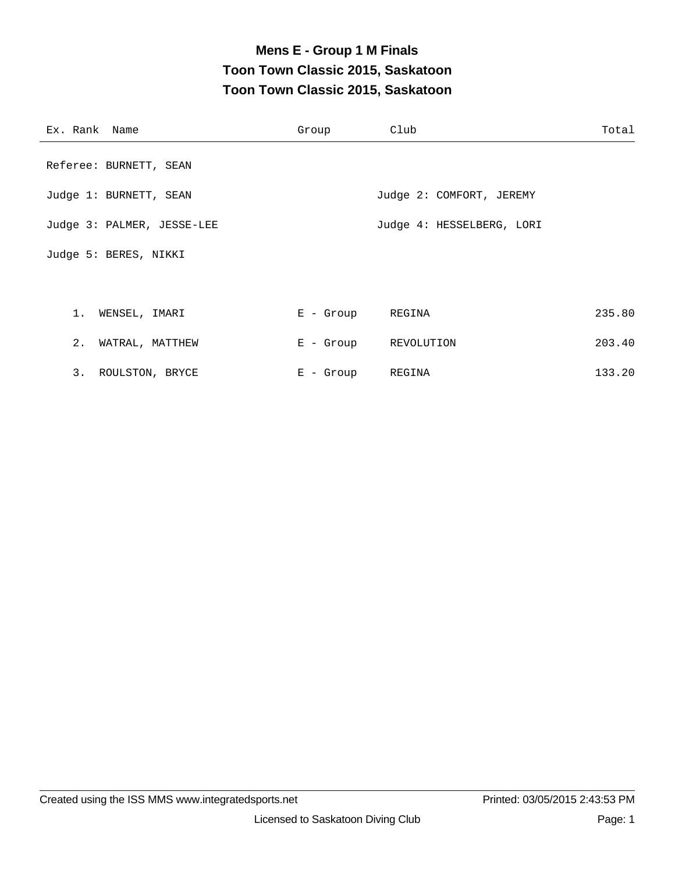# **Mens E - Group 1 M Finals Toon Town Classic 2015, Saskatoon Toon Town Classic 2015, Saskatoon**

| Ex. Rank Name              | Group            | Club                      | Total  |
|----------------------------|------------------|---------------------------|--------|
| Referee: BURNETT, SEAN     |                  |                           |        |
| Judge 1: BURNETT, SEAN     |                  | Judge 2: COMFORT, JEREMY  |        |
| Judge 3: PALMER, JESSE-LEE |                  | Judge 4: HESSELBERG, LORI |        |
| Judge 5: BERES, NIKKI      |                  |                           |        |
|                            |                  |                           |        |
| 1. WENSEL, IMARI           | E - Group REGINA |                           | 235.80 |
| 2. WATRAL, MATTHEW         |                  | E - Group REVOLUTION      | 203.40 |
| 3. ROULSTON, BRYCE         | $E -$ Group      | REGINA                    | 133.20 |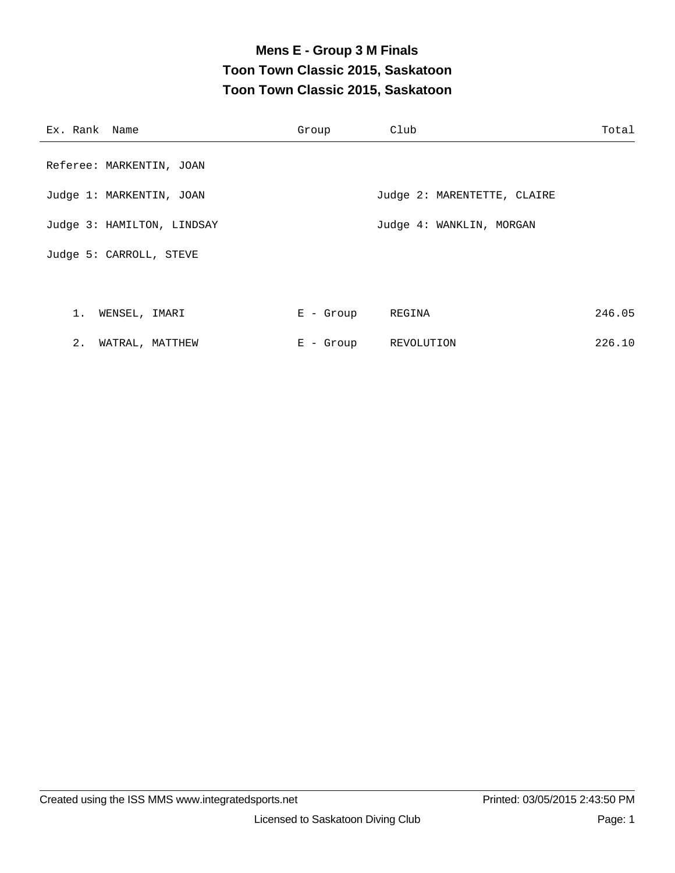### **Mens E - Group 3 M Finals Toon Town Classic 2015, Saskatoon Toon Town Classic 2015, Saskatoon**

| Ex. Rank Name              | Group       | Club                        | Total  |
|----------------------------|-------------|-----------------------------|--------|
| Referee: MARKENTIN, JOAN   |             |                             |        |
| Judge 1: MARKENTIN, JOAN   |             | Judge 2: MARENTETTE, CLAIRE |        |
| Judge 3: HAMILTON, LINDSAY |             | Judge 4: WANKLIN, MORGAN    |        |
| Judge 5: CARROLL, STEVE    |             |                             |        |
|                            |             |                             |        |
| 1. WENSEL, IMARI           | $E -$ Group | REGINA                      | 246.05 |
| 2.<br>WATRAL, MATTHEW      | $E - Growp$ | REVOLUTION                  | 226.10 |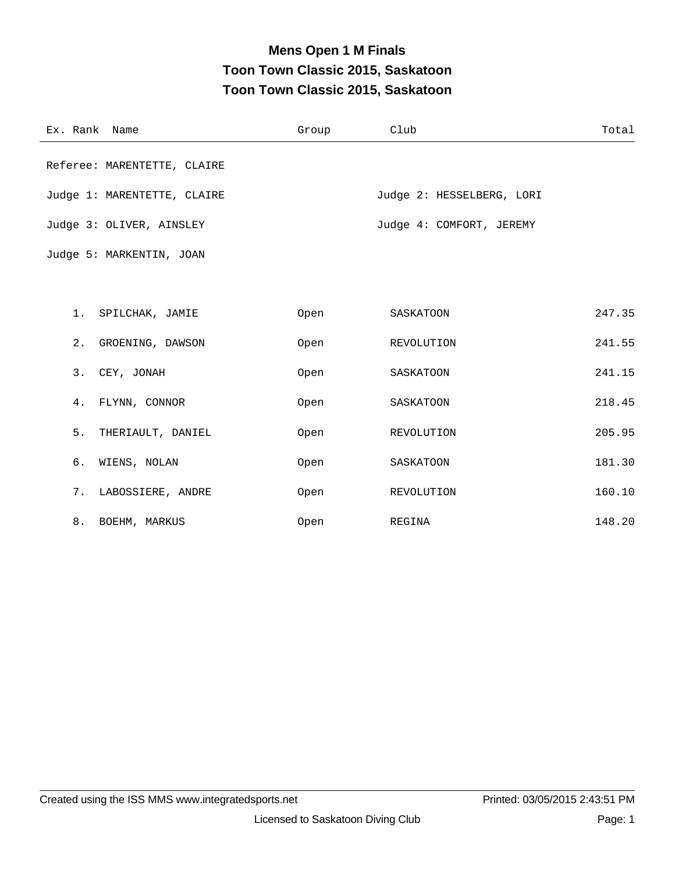# **Mens Open 1 M Finals Toon Town Classic 2015, Saskatoon Toon Town Classic 2015, Saskatoon**

| Ex. Rank Name               | Group | Club                      | Total  |
|-----------------------------|-------|---------------------------|--------|
| Referee: MARENTETTE, CLAIRE |       |                           |        |
| Judge 1: MARENTETTE, CLAIRE |       | Judge 2: HESSELBERG, LORI |        |
| Judge 3: OLIVER, AINSLEY    |       | Judge 4: COMFORT, JEREMY  |        |
| Judge 5: MARKENTIN, JOAN    |       |                           |        |
|                             |       |                           |        |
| 1. SPILCHAK, JAMIE          | Open  | SASKATOON                 | 247.35 |
| 2. GROENING, DAWSON         | Open  | REVOLUTION                | 241.55 |
| 3. CEY, JONAH               | Open  | SASKATOON                 | 241.15 |
| 4. FLYNN, CONNOR            | Open  | SASKATOON                 | 218.45 |
| 5.<br>THERIAULT, DANIEL     | Open  | REVOLUTION                | 205.95 |
| б.<br>WIENS, NOLAN          | Open  | SASKATOON                 | 181.30 |
| 7. LABOSSIERE, ANDRE        | Open  | REVOLUTION                | 160.10 |
| 8. BOEHM, MARKUS            | Open  | REGINA                    | 148.20 |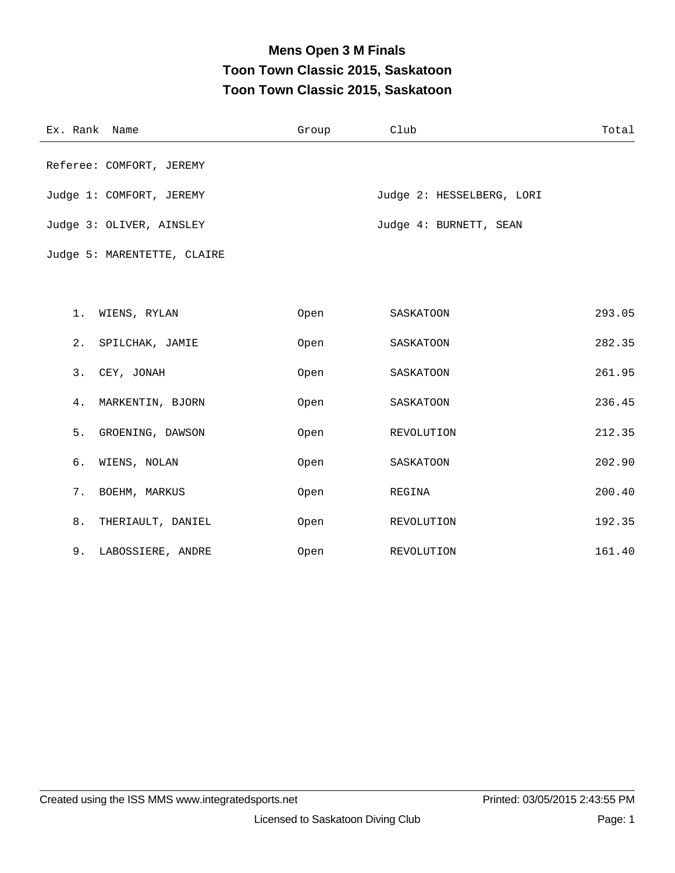# **Mens Open 3 M Finals Toon Town Classic 2015, Saskatoon Toon Town Classic 2015, Saskatoon**

| Ex. Rank Name               | Group | Club                      | Total  |
|-----------------------------|-------|---------------------------|--------|
| Referee: COMFORT, JEREMY    |       |                           |        |
| Judge 1: COMFORT, JEREMY    |       | Judge 2: HESSELBERG, LORI |        |
| Judge 3: OLIVER, AINSLEY    |       | Judge 4: BURNETT, SEAN    |        |
| Judge 5: MARENTETTE, CLAIRE |       |                           |        |
|                             |       |                           |        |
| 1. WIENS, RYLAN             | Open  | SASKATOON                 | 293.05 |
| 2.<br>SPILCHAK, JAMIE       | Open  | SASKATOON                 | 282.35 |
| 3.<br>CEY, JONAH            | Open  | SASKATOON                 | 261.95 |
| MARKENTIN, BJORN<br>4.      | Open  | SASKATOON                 | 236.45 |
| 5.<br>GROENING, DAWSON      | Open  | REVOLUTION                | 212.35 |
| б.<br>WIENS, NOLAN          | Open  | SASKATOON                 | 202.90 |
| 7.<br>BOEHM, MARKUS         | Open  | REGINA                    | 200.40 |
| 8.<br>THERIAULT, DANIEL     | Open  | REVOLUTION                | 192.35 |
| 9.<br>LABOSSIERE, ANDRE     | Open  | REVOLUTION                | 161.40 |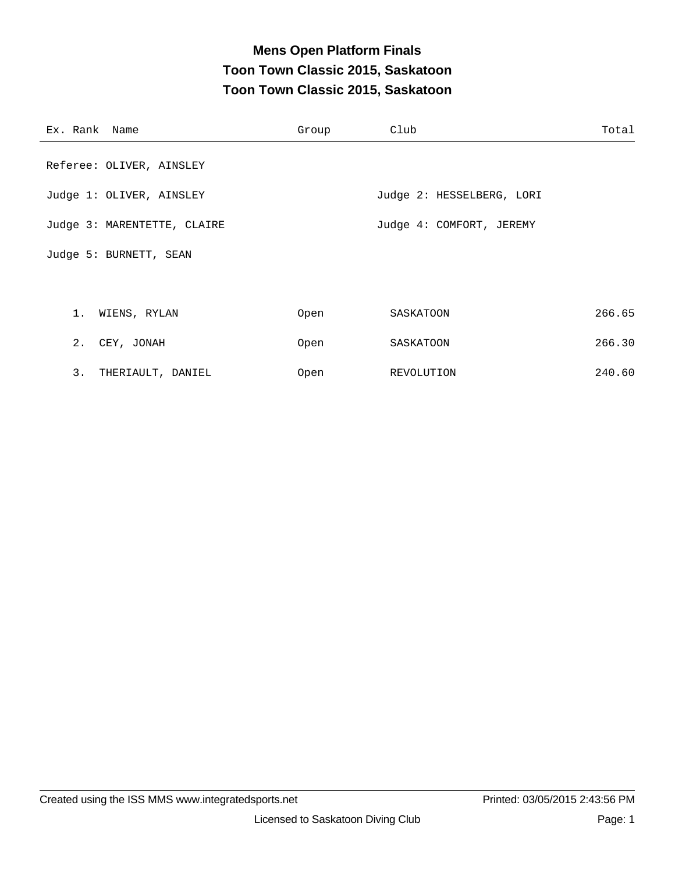### **Mens Open Platform Finals Toon Town Classic 2015, Saskatoon Toon Town Classic 2015, Saskatoon**

| Ex. Rank Name               | Group | Club                      | Total  |
|-----------------------------|-------|---------------------------|--------|
| Referee: OLIVER, AINSLEY    |       |                           |        |
| Judge 1: OLIVER, AINSLEY    |       | Judge 2: HESSELBERG, LORI |        |
| Judge 3: MARENTETTE, CLAIRE |       | Judge 4: COMFORT, JEREMY  |        |
| Judge 5: BURNETT, SEAN      |       |                           |        |
|                             |       |                           |        |
| 1. WIENS, RYLAN             | Open  | SASKATOON                 | 266.65 |
| 2. CEY, JONAH               | Open  | SASKATOON                 | 266.30 |
| 3. THERIAULT, DANIEL        | Open  | REVOLUTION                | 240.60 |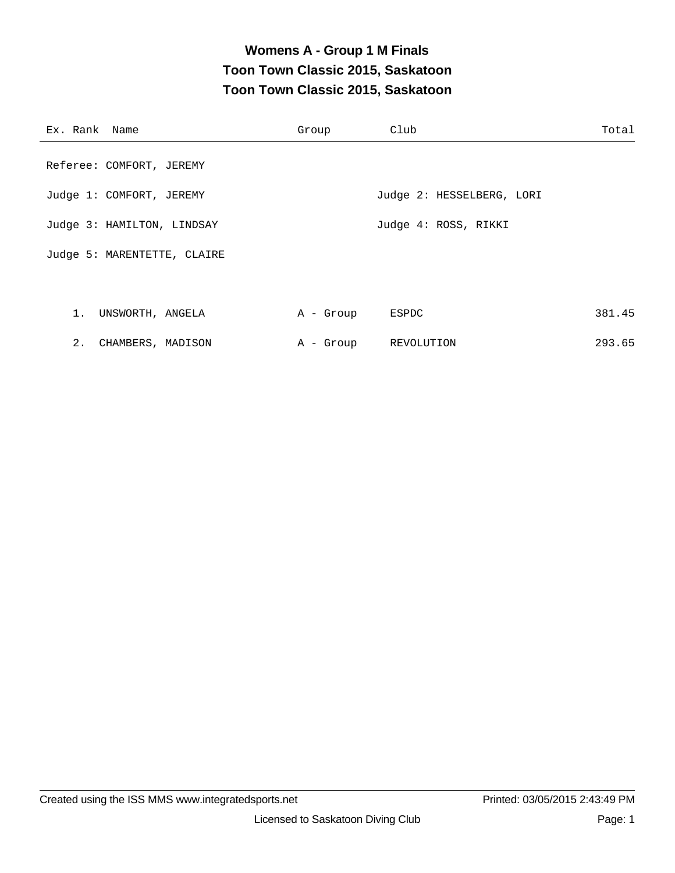### **Womens A - Group 1 M Finals Toon Town Classic 2015, Saskatoon Toon Town Classic 2015, Saskatoon**

| Ex. Rank Name               | Group     | Club                      | Total  |
|-----------------------------|-----------|---------------------------|--------|
| Referee: COMFORT, JEREMY    |           |                           |        |
| Judge 1: COMFORT, JEREMY    |           | Judge 2: HESSELBERG, LORI |        |
| Judge 3: HAMILTON, LINDSAY  |           | Judge 4: ROSS, RIKKI      |        |
| Judge 5: MARENTETTE, CLAIRE |           |                           |        |
|                             |           |                           |        |
| 1. UNSWORTH, ANGELA         | A - Group | ESPDC                     | 381.45 |
| 2. CHAMBERS, MADISON        | A - Group | REVOLUTION                | 293.65 |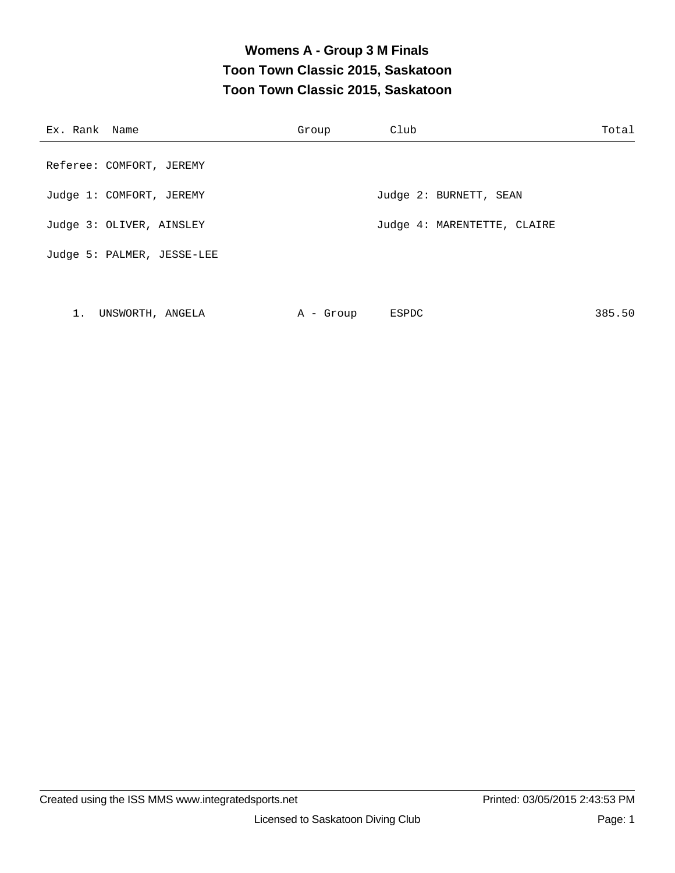### **Womens A - Group 3 M Finals Toon Town Classic 2015, Saskatoon Toon Town Classic 2015, Saskatoon**

| Ex. Rank Name              | Group | Club                        | Total |
|----------------------------|-------|-----------------------------|-------|
| Referee: COMFORT, JEREMY   |       |                             |       |
| Judge 1: COMFORT, JEREMY   |       | Judge 2: BURNETT, SEAN      |       |
| Judge 3: OLIVER, AINSLEY   |       | Judge 4: MARENTETTE, CLAIRE |       |
| Judge 5: PALMER, JESSE-LEE |       |                             |       |
|                            |       |                             |       |

| UNSWORTH, ANGELA | - Group | 385.50<br>ESPDC |
|------------------|---------|-----------------|
|------------------|---------|-----------------|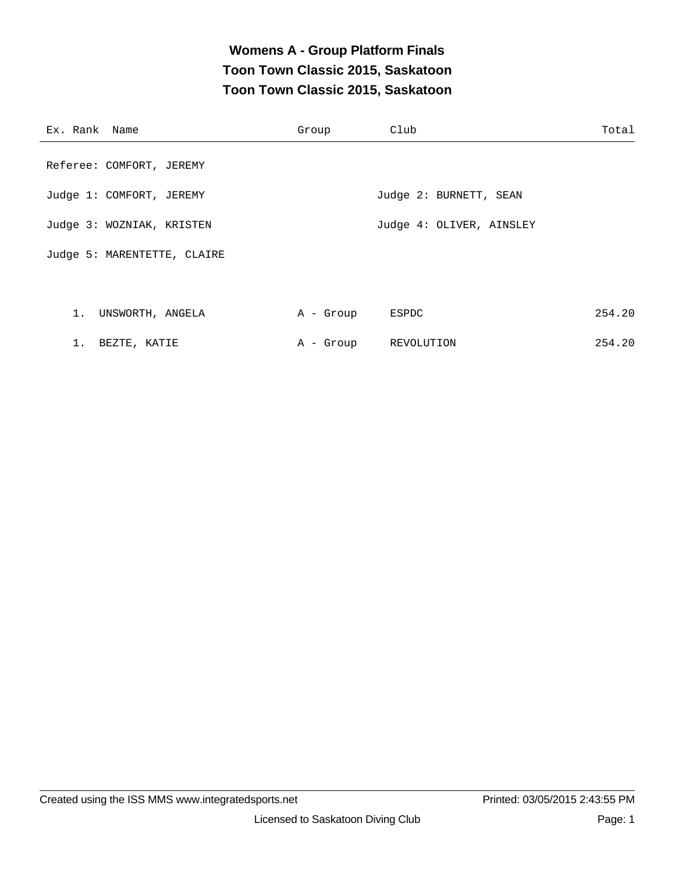### **Womens A - Group Platform Finals Toon Town Classic 2015, Saskatoon Toon Town Classic 2015, Saskatoon**

| Ex. Rank Name               | Group     | Club                     | Total  |
|-----------------------------|-----------|--------------------------|--------|
| Referee: COMFORT, JEREMY    |           |                          |        |
| Judge 1: COMFORT, JEREMY    |           | Judge 2: BURNETT, SEAN   |        |
| Judge 3: WOZNIAK, KRISTEN   |           | Judge 4: OLIVER, AINSLEY |        |
| Judge 5: MARENTETTE, CLAIRE |           |                          |        |
|                             |           |                          |        |
| 1. UNSWORTH, ANGELA         | A - Group | ESPDC                    | 254.20 |
| 1. BEZTE, KATIE             | A - Group | REVOLUTION               | 254.20 |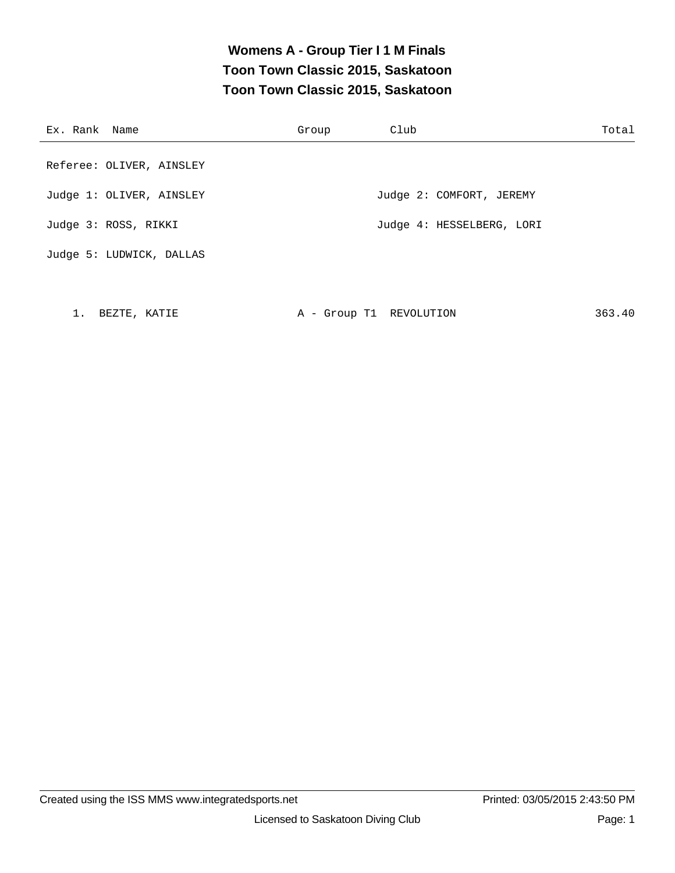### **Womens A - Group Tier I 1 M Finals Toon Town Classic 2015, Saskatoon Toon Town Classic 2015, Saskatoon**

| Ex. Rank Name            | Group | Club                      | Total |
|--------------------------|-------|---------------------------|-------|
| Referee: OLIVER, AINSLEY |       |                           |       |
| Judge 1: OLIVER, AINSLEY |       | Judge 2: COMFORT, JEREMY  |       |
| Judge 3: ROSS, RIKKI     |       | Judge 4: HESSELBERG, LORI |       |
| Judge 5: LUDWICK, DALLAS |       |                           |       |

1. BEZTE, KATIE  $A - Group T1$  REVOLUTION 363.40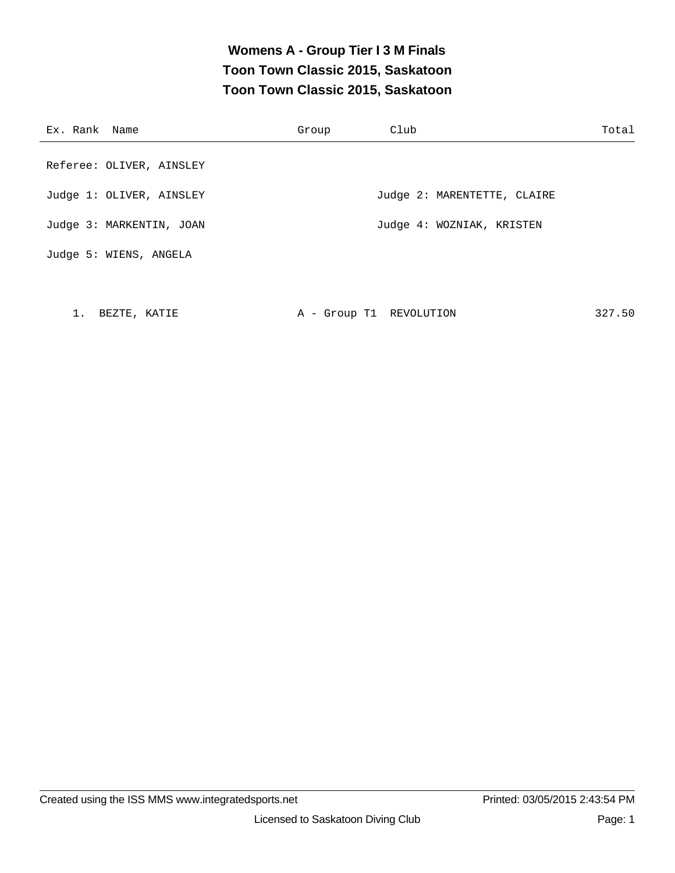### **Womens A - Group Tier I 3 M Finals Toon Town Classic 2015, Saskatoon Toon Town Classic 2015, Saskatoon**

| Ex. Rank Name                                        | Group | Club                        | Total |
|------------------------------------------------------|-------|-----------------------------|-------|
|                                                      |       |                             |       |
|                                                      |       |                             |       |
|                                                      |       |                             |       |
| Judge 3: MARKENTIN, JOAN                             |       | Judge 4: WOZNIAK, KRISTEN   |       |
| Judge 5: WIENS, ANGELA                               |       |                             |       |
| Referee: OLIVER, AINSLEY<br>Judge 1: OLIVER, AINSLEY |       | Judge 2: MARENTETTE, CLAIRE |       |

1. BEZTE, KATIE  $A - Group T1$  REVOLUTION 327.50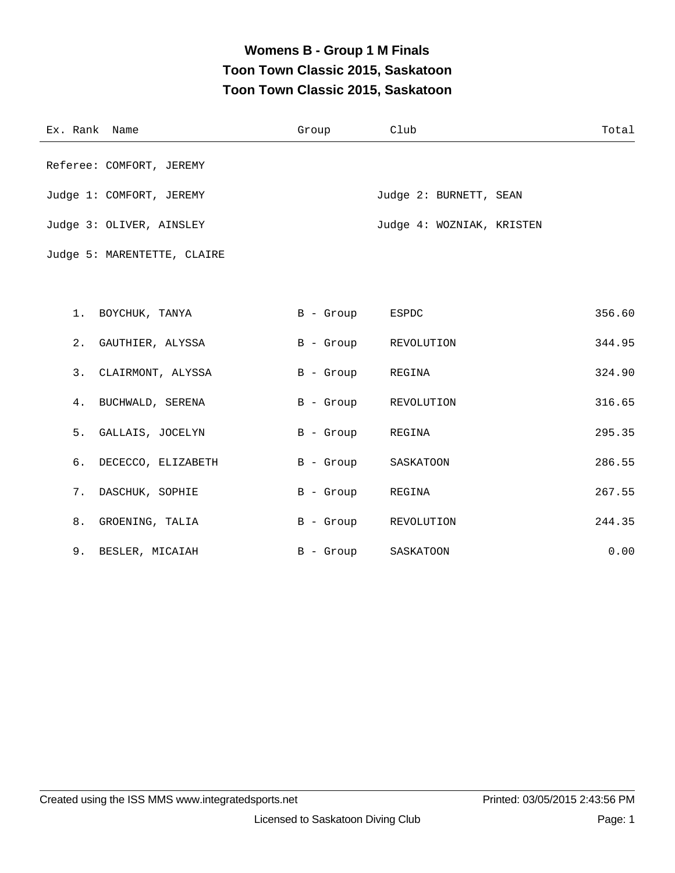### **Womens B - Group 1 M Finals Toon Town Classic 2015, Saskatoon Toon Town Classic 2015, Saskatoon**

| Ex. Rank Name               | Group           | Club                      | Total  |
|-----------------------------|-----------------|---------------------------|--------|
| Referee: COMFORT, JEREMY    |                 |                           |        |
| Judge 1: COMFORT, JEREMY    |                 | Judge 2: BURNETT, SEAN    |        |
| Judge 3: OLIVER, AINSLEY    |                 | Judge 4: WOZNIAK, KRISTEN |        |
| Judge 5: MARENTETTE, CLAIRE |                 |                           |        |
|                             |                 |                           |        |
| 1. BOYCHUK, TANYA           | B - Group ESPDC |                           | 356.60 |
| 2. GAUTHIER, ALYSSA         |                 | B - Group REVOLUTION      | 344.95 |
| 3.<br>CLAIRMONT, ALYSSA     | B - Group       | REGINA                    | 324.90 |
| 4.<br>BUCHWALD, SERENA      | B - Group       | REVOLUTION                | 316.65 |
| 5.<br>GALLAIS, JOCELYN      | B - Group       | REGINA                    | 295.35 |
| 6.<br>DECECCO, ELIZABETH    | B - Group       | SASKATOON                 | 286.55 |
| DASCHUK, SOPHIE<br>7.       | B - Group       | REGINA                    | 267.55 |
| 8.<br>GROENING, TALIA       | B - Group       | REVOLUTION                | 244.35 |
| 9. BESLER, MICAIAH          | B - Group       | SASKATOON                 | 0.00   |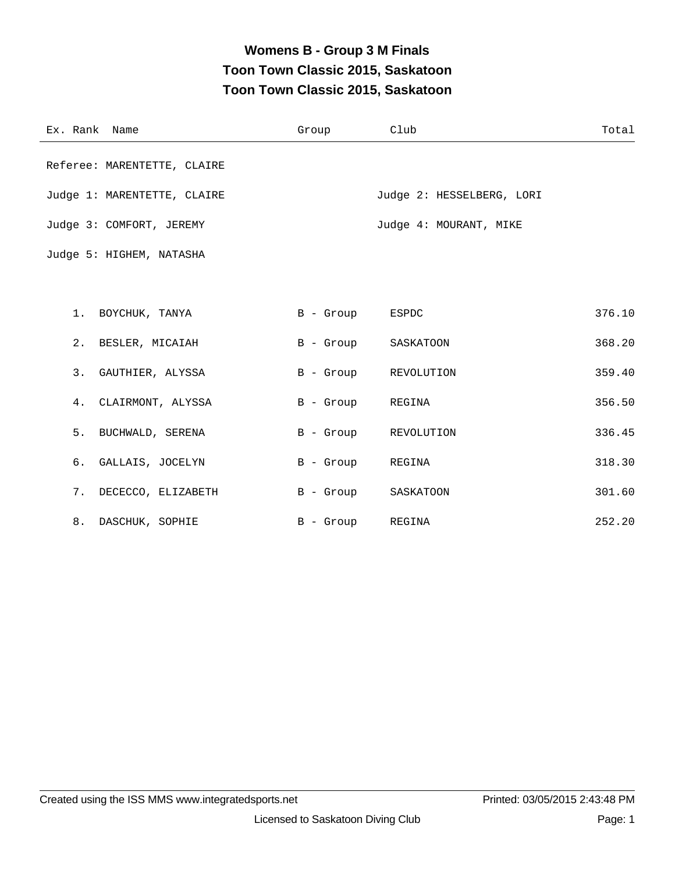### **Womens B - Group 3 M Finals Toon Town Classic 2015, Saskatoon Toon Town Classic 2015, Saskatoon**

| Ex. Rank Name               | Group           | Club                      | Total  |
|-----------------------------|-----------------|---------------------------|--------|
| Referee: MARENTETTE, CLAIRE |                 |                           |        |
| Judge 1: MARENTETTE, CLAIRE |                 | Judge 2: HESSELBERG, LORI |        |
| Judge 3: COMFORT, JEREMY    |                 | Judge 4: MOURANT, MIKE    |        |
| Judge 5: HIGHEM, NATASHA    |                 |                           |        |
|                             |                 |                           |        |
| 1. BOYCHUK, TANYA           | B - Group ESPDC |                           | 376.10 |
| 2. BESLER, MICAIAH          | B - Group       | SASKATOON                 | 368.20 |
| 3. GAUTHIER, ALYSSA         |                 | B - Group REVOLUTION      | 359.40 |
| 4. CLAIRMONT, ALYSSA        | B - Group       | REGINA                    | 356.50 |
| 5. BUCHWALD, SERENA         | B - Group       | REVOLUTION                | 336.45 |
| 6. GALLAIS, JOCELYN         | B - Group       | REGINA                    | 318.30 |
| 7. DECECCO, ELIZABETH       | B - Group       | SASKATOON                 | 301.60 |
| 8. DASCHUK, SOPHIE          | B - Group       | REGINA                    | 252.20 |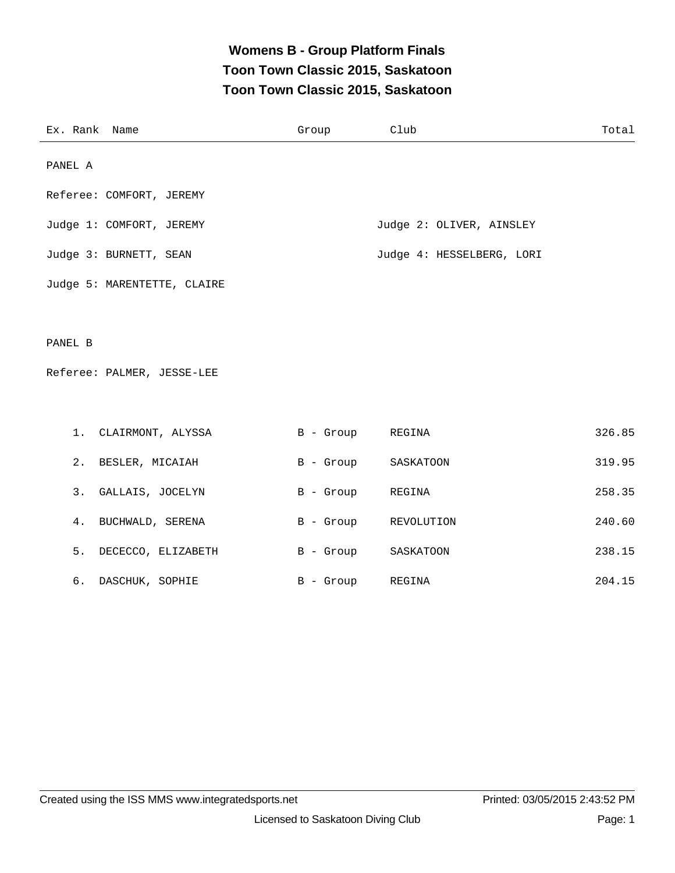### **Womens B - Group Platform Finals Toon Town Classic 2015, Saskatoon Toon Town Classic 2015, Saskatoon**

|         | Ex. Rank Name               | Group       | Club                      | Total  |
|---------|-----------------------------|-------------|---------------------------|--------|
| PANEL A |                             |             |                           |        |
|         | Referee: COMFORT, JEREMY    |             |                           |        |
|         | Judge 1: COMFORT, JEREMY    |             | Judge 2: OLIVER, AINSLEY  |        |
|         | Judge 3: BURNETT, SEAN      |             | Judge 4: HESSELBERG, LORI |        |
|         | Judge 5: MARENTETTE, CLAIRE |             |                           |        |
|         |                             |             |                           |        |
| PANEL B |                             |             |                           |        |
|         | Referee: PALMER, JESSE-LEE  |             |                           |        |
|         |                             |             |                           |        |
| 1.      | CLAIRMONT, ALYSSA           | B - Group   | REGINA                    | 326.85 |
| 2.      | BESLER, MICAIAH             | B - Group   | SASKATOON                 | 319.95 |
| 3.      | GALLAIS, JOCELYN            | $B -$ Group | REGINA                    | 258.35 |
| 4.      | BUCHWALD, SERENA            | B - Group   | REVOLUTION                | 240.60 |
| 5.      | DECECCO, ELIZABETH          | B - Group   | SASKATOON                 | 238.15 |
| б.      | DASCHUK, SOPHIE             | B - Group   | REGINA                    | 204.15 |
|         |                             |             |                           |        |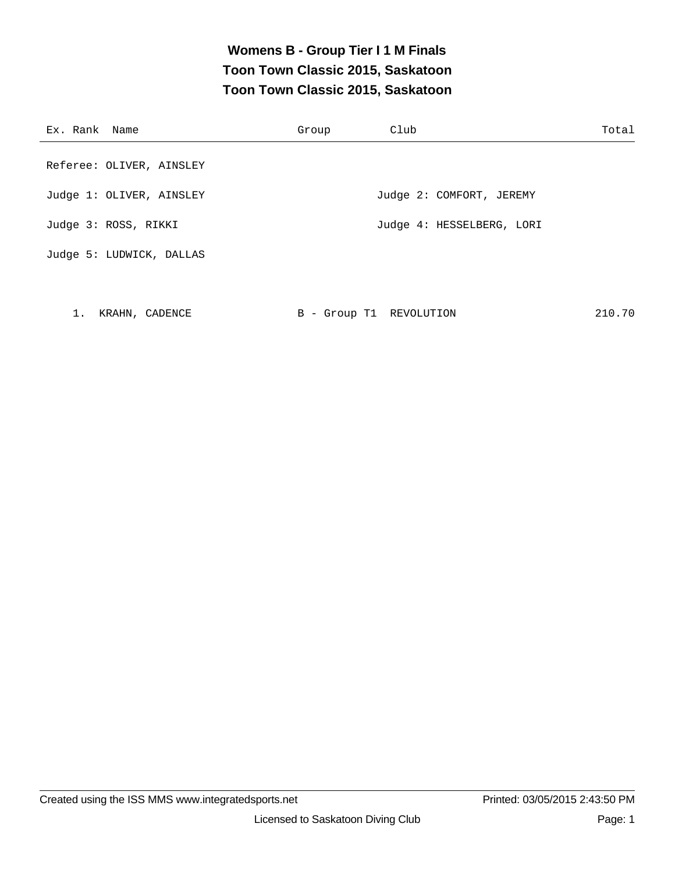# **Womens B - Group Tier I 1 M Finals Toon Town Classic 2015, Saskatoon Toon Town Classic 2015, Saskatoon**

| Ex. Rank Name |                          | Group | Club                      | Total |
|---------------|--------------------------|-------|---------------------------|-------|
|               | Referee: OLIVER, AINSLEY |       |                           |       |
|               | Judge 1: OLIVER, AINSLEY |       | Judge 2: COMFORT, JEREMY  |       |
|               | Judge 3: ROSS, RIKKI     |       | Judge 4: HESSELBERG, LORI |       |
|               | Judge 5: LUDWICK, DALLAS |       |                           |       |

| KRAHN, CADENCE | B - Group T1 REVOLUTION | 210.70 |
|----------------|-------------------------|--------|
|----------------|-------------------------|--------|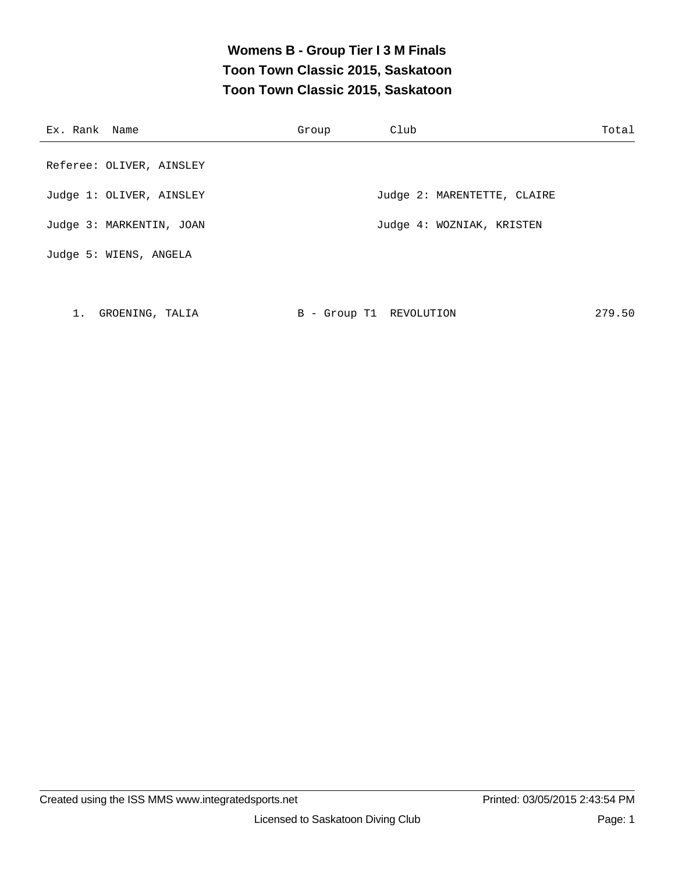### **Womens B - Group Tier I 3 M Finals Toon Town Classic 2015, Saskatoon Toon Town Classic 2015, Saskatoon**

| Ex. Rank Name            | Group | Club                        | Total |
|--------------------------|-------|-----------------------------|-------|
|                          |       |                             |       |
| Referee: OLIVER, AINSLEY |       |                             |       |
|                          |       |                             |       |
| Judge 1: OLIVER, AINSLEY |       | Judge 2: MARENTETTE, CLAIRE |       |
| Judge 3: MARKENTIN, JOAN |       | Judge 4: WOZNIAK, KRISTEN   |       |
|                          |       |                             |       |
| Judge 5: WIENS, ANGELA   |       |                             |       |
|                          |       |                             |       |

1. GROENING, TALIA B - Group T1 REVOLUTION 279.50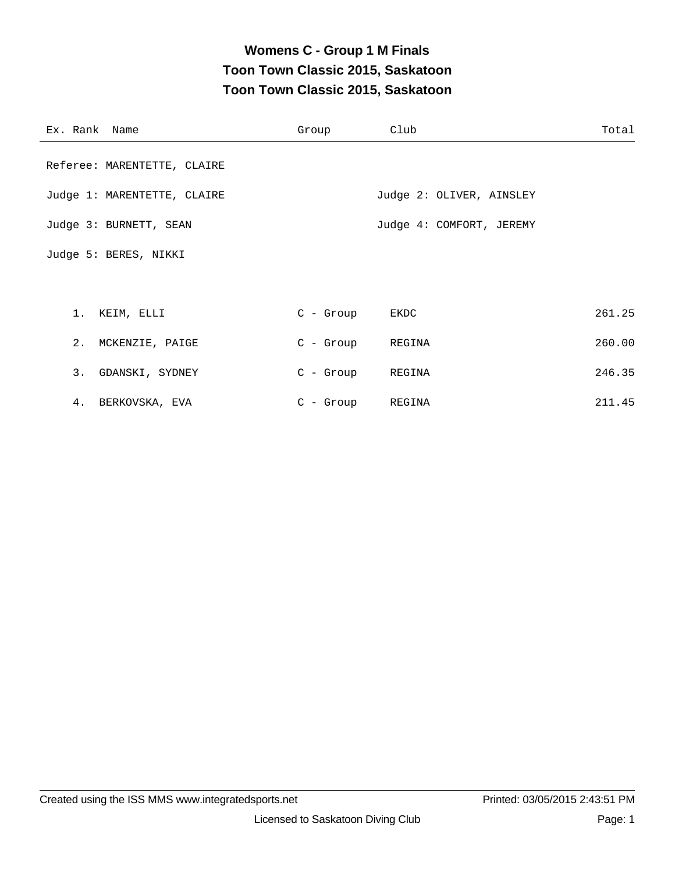# **Womens C - Group 1 M Finals Toon Town Classic 2015, Saskatoon Toon Town Classic 2015, Saskatoon**

| Ex. Rank Name               | Group            | Club                     | Total  |
|-----------------------------|------------------|--------------------------|--------|
| Referee: MARENTETTE, CLAIRE |                  |                          |        |
| Judge 1: MARENTETTE, CLAIRE |                  | Judge 2: OLIVER, AINSLEY |        |
| Judge 3: BURNETT, SEAN      |                  | Judge 4: COMFORT, JEREMY |        |
| Judge 5: BERES, NIKKI       |                  |                          |        |
|                             |                  |                          |        |
| 1. KEIM, ELLI               | $C - Group$      | EKDC                     | 261.25 |
| 2. MCKENZIE, PAIGE          | C - Group REGINA |                          | 260.00 |
| 3. GDANSKI, SYDNEY          | C - Group        | REGINA                   | 246.35 |
| 4. BERKOVSKA, EVA           | $C$ - Group      | REGINA                   | 211.45 |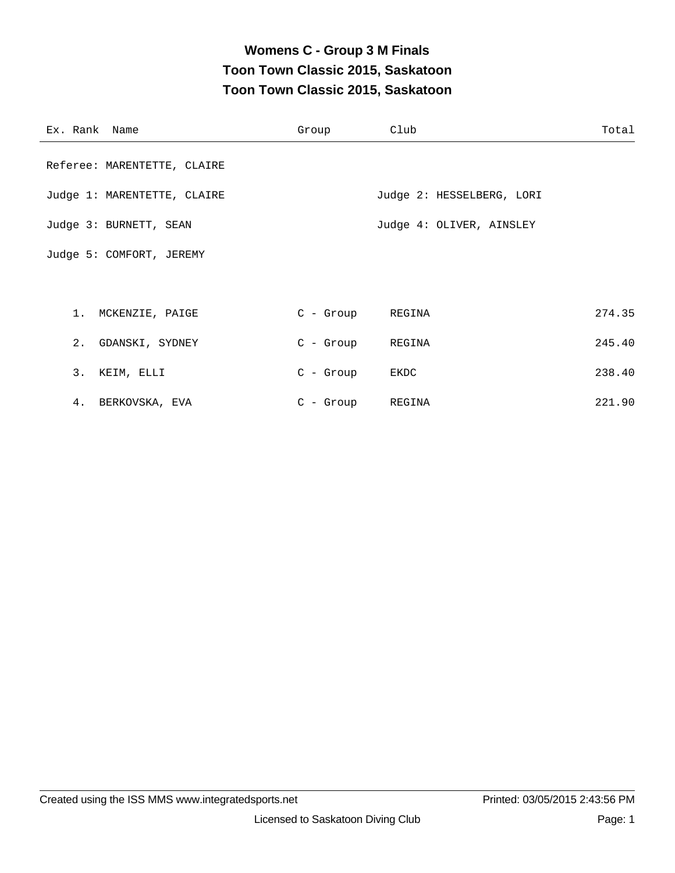# **Womens C - Group 3 M Finals Toon Town Classic 2015, Saskatoon Toon Town Classic 2015, Saskatoon**

| Ex. Rank Name               | Group            | Club                      | Total  |
|-----------------------------|------------------|---------------------------|--------|
| Referee: MARENTETTE, CLAIRE |                  |                           |        |
| Judge 1: MARENTETTE, CLAIRE |                  | Judge 2: HESSELBERG, LORI |        |
| Judge 3: BURNETT, SEAN      |                  | Judge 4: OLIVER, AINSLEY  |        |
| Judge 5: COMFORT, JEREMY    |                  |                           |        |
|                             |                  |                           |        |
| 1. MCKENZIE, PAIGE          | C - Group REGINA |                           | 274.35 |
| 2. GDANSKI, SYDNEY          | C - Group        | REGINA                    | 245.40 |
| 3. KEIM, ELLI               | $C -$ Group      | EKDC                      | 238.40 |
| 4. BERKOVSKA, EVA           | $C - Group$      | REGINA                    | 221.90 |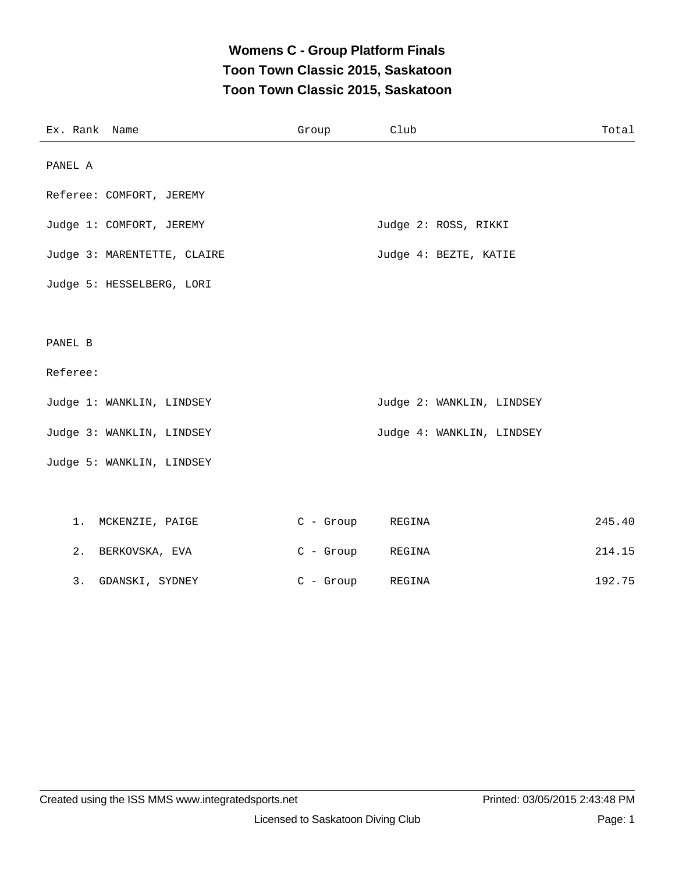## **Womens C - Group Platform Finals Toon Town Classic 2015, Saskatoon Toon Town Classic 2015, Saskatoon**

| Ex. Rank Name               | Group       | Club                      | Total  |
|-----------------------------|-------------|---------------------------|--------|
| PANEL A                     |             |                           |        |
| Referee: COMFORT, JEREMY    |             |                           |        |
| Judge 1: COMFORT, JEREMY    |             | Judge 2: ROSS, RIKKI      |        |
| Judge 3: MARENTETTE, CLAIRE |             | Judge 4: BEZTE, KATIE     |        |
| Judge 5: HESSELBERG, LORI   |             |                           |        |
|                             |             |                           |        |
| PANEL B                     |             |                           |        |
| Referee:                    |             |                           |        |
| Judge 1: WANKLIN, LINDSEY   |             | Judge 2: WANKLIN, LINDSEY |        |
| Judge 3: WANKLIN, LINDSEY   |             | Judge 4: WANKLIN, LINDSEY |        |
| Judge 5: WANKLIN, LINDSEY   |             |                           |        |
|                             |             |                           |        |
| 1.<br>MCKENZIE, PAIGE       | $C - Group$ | REGINA                    | 245.40 |
| 2.<br>BERKOVSKA, EVA        | $C -$ Group | REGINA                    | 214.15 |
| 3. GDANSKI, SYDNEY          | $C - Group$ | REGINA                    | 192.75 |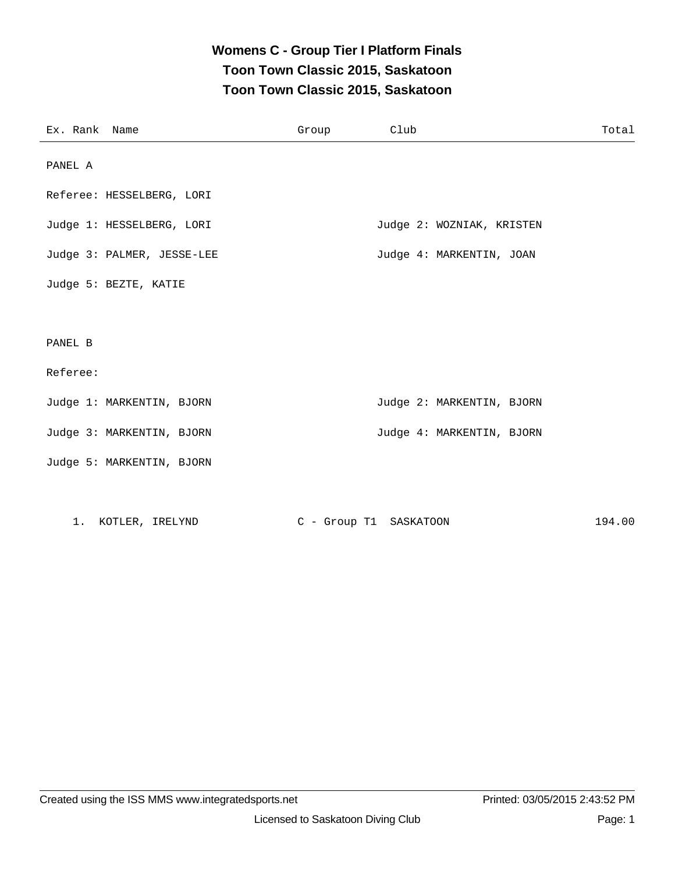#### **Womens C - Group Tier I Platform Finals Toon Town Classic 2015, Saskatoon Toon Town Classic 2015, Saskatoon**

| Ex. Rank Name |                            | Group | Club                      | Total  |
|---------------|----------------------------|-------|---------------------------|--------|
| PANEL A       |                            |       |                           |        |
|               | Referee: HESSELBERG, LORI  |       |                           |        |
|               | Judge 1: HESSELBERG, LORI  |       | Judge 2: WOZNIAK, KRISTEN |        |
|               | Judge 3: PALMER, JESSE-LEE |       | Judge 4: MARKENTIN, JOAN  |        |
|               | Judge 5: BEZTE, KATIE      |       |                           |        |
|               |                            |       |                           |        |
| PANEL B       |                            |       |                           |        |
| Referee:      |                            |       |                           |        |
|               | Judge 1: MARKENTIN, BJORN  |       | Judge 2: MARKENTIN, BJORN |        |
|               | Judge 3: MARKENTIN, BJORN  |       | Judge 4: MARKENTIN, BJORN |        |
|               | Judge 5: MARKENTIN, BJORN  |       |                           |        |
|               |                            |       |                           |        |
|               | 1. KOTLER, IRELYND         |       | C - Group T1 SASKATOON    | 194.00 |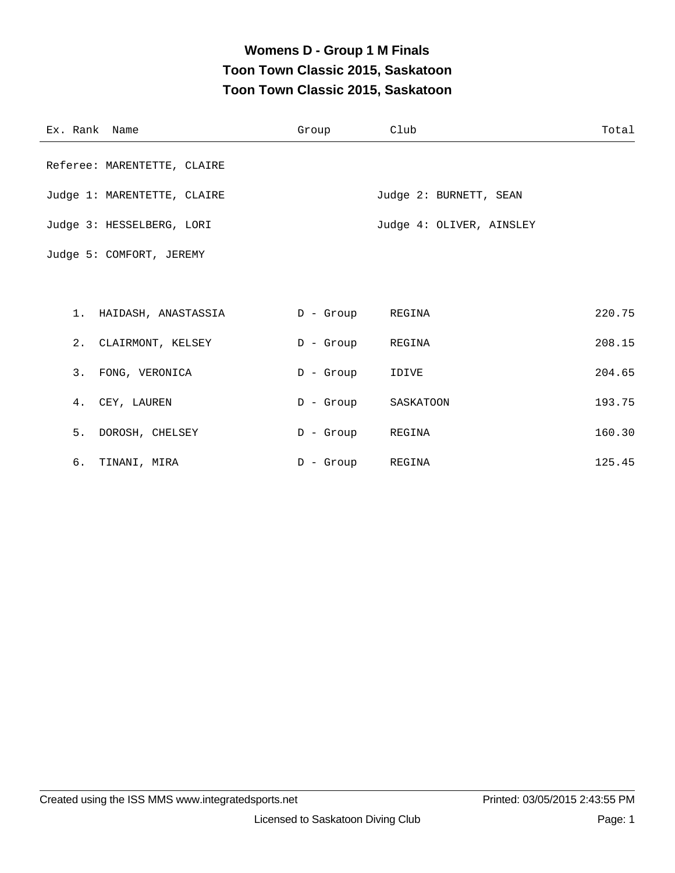### **Womens D - Group 1 M Finals Toon Town Classic 2015, Saskatoon Toon Town Classic 2015, Saskatoon**

| Ex. Rank Name |                             | Group            | Club                     | Total  |
|---------------|-----------------------------|------------------|--------------------------|--------|
|               | Referee: MARENTETTE, CLAIRE |                  |                          |        |
|               | Judge 1: MARENTETTE, CLAIRE |                  | Judge 2: BURNETT, SEAN   |        |
|               | Judge 3: HESSELBERG, LORI   |                  | Judge 4: OLIVER, AINSLEY |        |
|               | Judge 5: COMFORT, JEREMY    |                  |                          |        |
|               |                             |                  |                          |        |
|               | 1. HAIDASH, ANASTASSIA      | D - Group REGINA |                          | 220.75 |
|               | 2. CLAIRMONT, KELSEY        | D - Group REGINA |                          | 208.15 |
|               | 3. FONG, VERONICA           | $D -$ Group      | IDIVE                    | 204.65 |
|               | 4. CEY, LAUREN              | D - Group        | SASKATOON                | 193.75 |
|               | 5. DOROSH, CHELSEY          | $D -$ Group      | REGINA                   | 160.30 |
|               | 6. TINANI, MIRA             | $D -$ Group      | REGINA                   | 125.45 |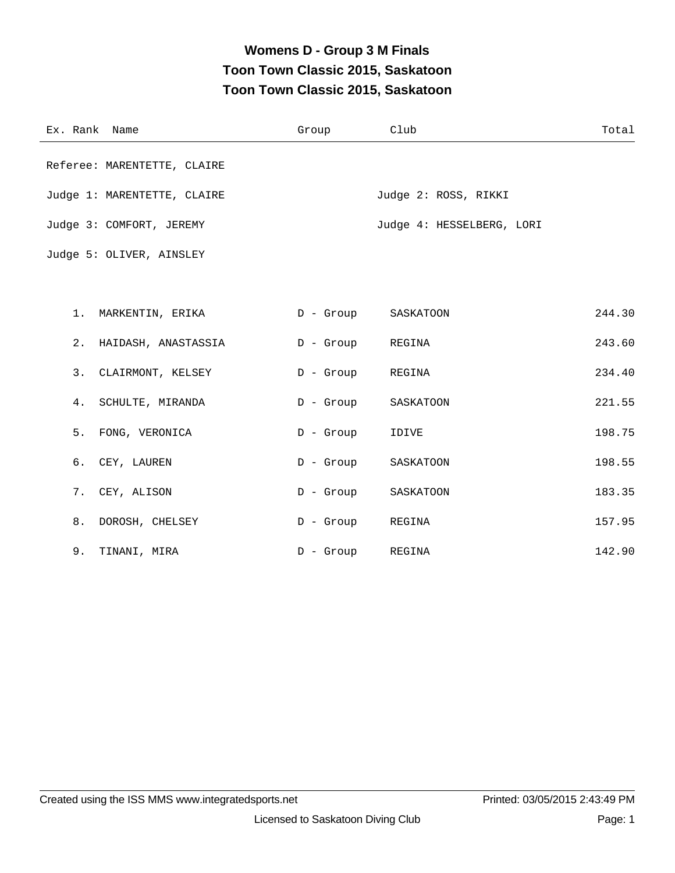### **Womens D - Group 3 M Finals Toon Town Classic 2015, Saskatoon Toon Town Classic 2015, Saskatoon**

| Ex. Rank Name               | Group       | Club                      | Total  |
|-----------------------------|-------------|---------------------------|--------|
| Referee: MARENTETTE, CLAIRE |             |                           |        |
| Judge 1: MARENTETTE, CLAIRE |             | Judge 2: ROSS, RIKKI      |        |
| Judge 3: COMFORT, JEREMY    |             | Judge 4: HESSELBERG, LORI |        |
| Judge 5: OLIVER, AINSLEY    |             |                           |        |
|                             |             |                           |        |
| 1. MARKENTIN, ERIKA         | D - Group   | SASKATOON                 | 244.30 |
| 2.<br>HAIDASH, ANASTASSIA   | D - Group   | REGINA                    | 243.60 |
| 3.<br>CLAIRMONT, KELSEY     | $D -$ Group | REGINA                    | 234.40 |
| SCHULTE, MIRANDA<br>4.      | D - Group   | SASKATOON                 | 221.55 |
| 5.<br>FONG, VERONICA        | $D -$ Group | IDIVE                     | 198.75 |
| 6.<br>CEY, LAUREN           | $D -$ Group | SASKATOON                 | 198.55 |
| 7.<br>CEY, ALISON           | $D -$ Group | SASKATOON                 | 183.35 |
| 8.<br>DOROSH, CHELSEY       | $D -$ Group | REGINA                    | 157.95 |
| 9.<br>TINANI, MIRA          | $D -$ Group | REGINA                    | 142.90 |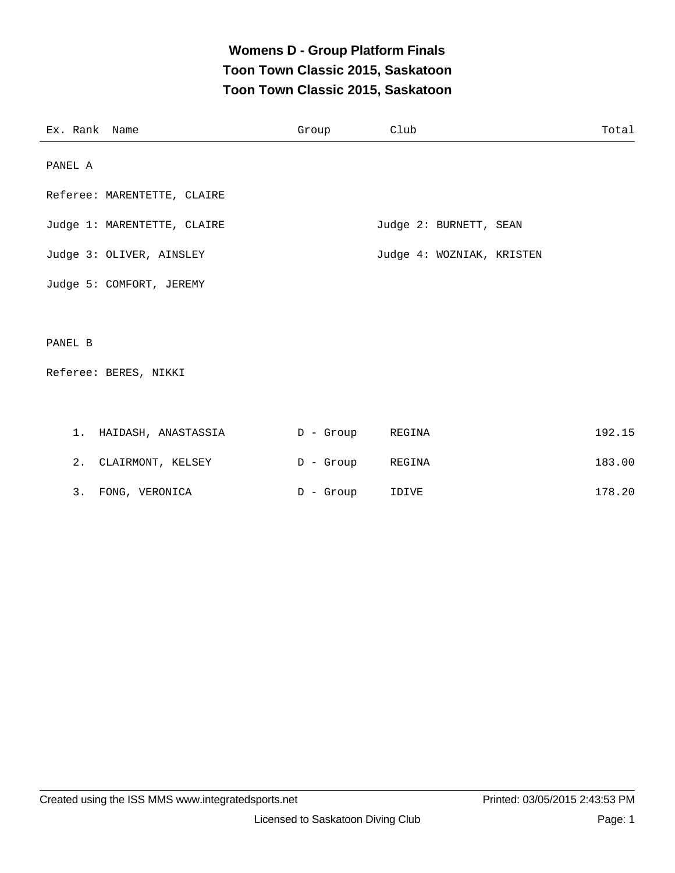### **Womens D - Group Platform Finals Toon Town Classic 2015, Saskatoon Toon Town Classic 2015, Saskatoon**

| Ex. Rank Name                            | Group            | Club                      | Total  |
|------------------------------------------|------------------|---------------------------|--------|
| PANEL A                                  |                  |                           |        |
| Referee: MARENTETTE, CLAIRE              |                  |                           |        |
| Judge 1: MARENTETTE, CLAIRE              |                  | Judge 2: BURNETT, SEAN    |        |
| Judge 3: OLIVER, AINSLEY                 |                  | Judge 4: WOZNIAK, KRISTEN |        |
| Judge 5: COMFORT, JEREMY                 |                  |                           |        |
|                                          |                  |                           |        |
| PANEL B                                  |                  |                           |        |
| Referee: BERES, NIKKI                    |                  |                           |        |
|                                          |                  |                           |        |
| 1. HAIDASH, ANASTASSIA (D - Group REGINA |                  |                           | 192.15 |
| 2. CLAIRMONT, KELSEY                     | D - Group REGINA |                           | 183.00 |

3. FONG, VERONICA  $D -$  Group IDIVE  $178.20$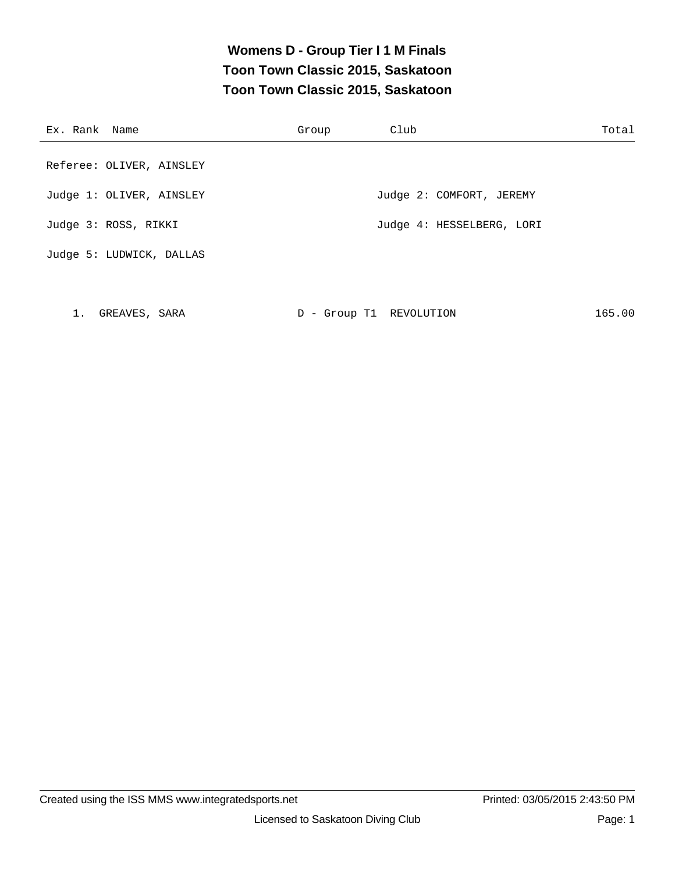### **Womens D - Group Tier I 1 M Finals Toon Town Classic 2015, Saskatoon Toon Town Classic 2015, Saskatoon**

| Ex. Rank Name            | Group | Club                      | Total |
|--------------------------|-------|---------------------------|-------|
| Referee: OLIVER, AINSLEY |       |                           |       |
| Judge 1: OLIVER, AINSLEY |       | Judge 2: COMFORT, JEREMY  |       |
| Judge 3: ROSS, RIKKI     |       | Judge 4: HESSELBERG, LORI |       |
| Judge 5: LUDWICK, DALLAS |       |                           |       |

1. GREAVES, SARA D - Group T1 REVOLUTION 165.00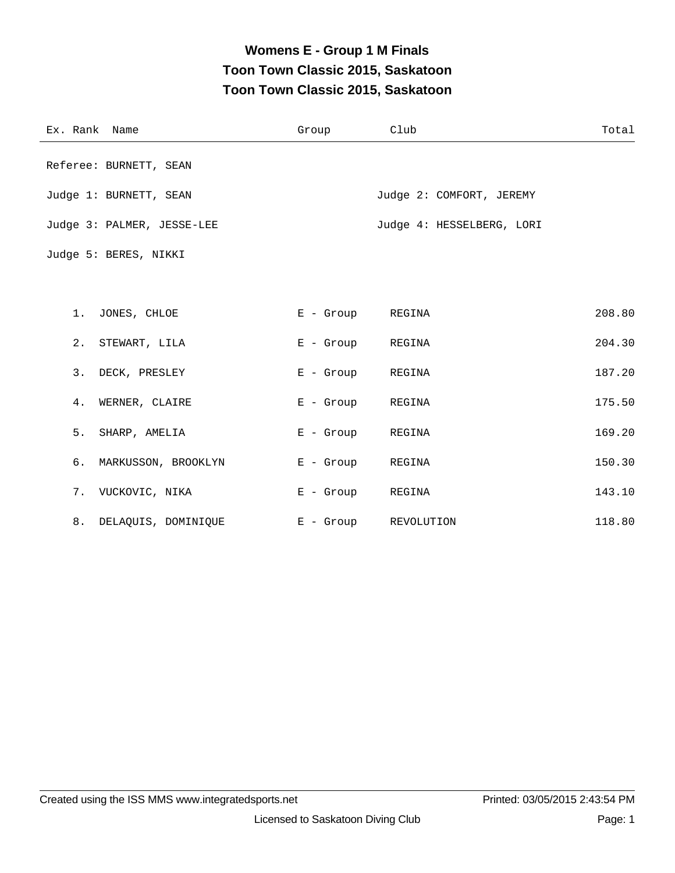# **Womens E - Group 1 M Finals Toon Town Classic 2015, Saskatoon Toon Town Classic 2015, Saskatoon**

| Ex. Rank Name              | Group            | Club                      | Total  |
|----------------------------|------------------|---------------------------|--------|
| Referee: BURNETT, SEAN     |                  |                           |        |
| Judge 1: BURNETT, SEAN     |                  | Judge 2: COMFORT, JEREMY  |        |
| Judge 3: PALMER, JESSE-LEE |                  | Judge 4: HESSELBERG, LORI |        |
| Judge 5: BERES, NIKKI      |                  |                           |        |
|                            |                  |                           |        |
| 1. JONES, CHLOE            | E - Group REGINA |                           | 208.80 |
| 2. STEWART, LILA           | E - Group REGINA |                           | 204.30 |
| 3. DECK, PRESLEY           | E - Group REGINA |                           | 187.20 |
| 4. WERNER, CLAIRE          | E - Group        | REGINA                    | 175.50 |
| 5.<br>SHARP, AMELIA        | $E -$ Group      | REGINA                    | 169.20 |
| б.<br>MARKUSSON, BROOKLYN  | $E -$ Group      | REGINA                    | 150.30 |
| 7. VUCKOVIC, NIKA          | E - Group        | REGINA                    | 143.10 |
| 8. DELAQUIS, DOMINIQUE     | $E -$ Group      | REVOLUTION                | 118.80 |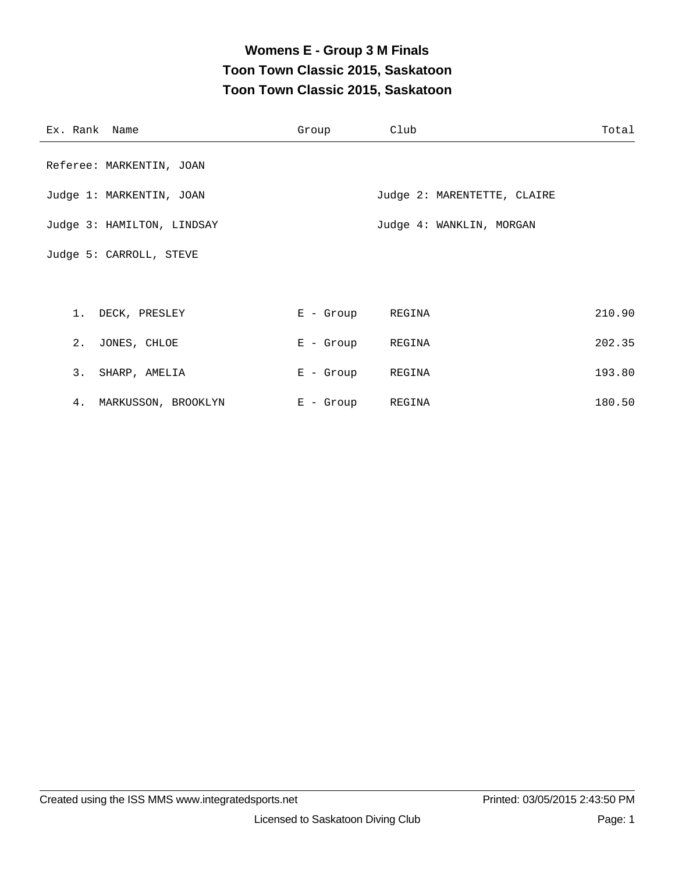# **Womens E - Group 3 M Finals Toon Town Classic 2015, Saskatoon Toon Town Classic 2015, Saskatoon**

| Ex. Rank Name              | Group            | Club                        | Total  |
|----------------------------|------------------|-----------------------------|--------|
| Referee: MARKENTIN, JOAN   |                  |                             |        |
| Judge 1: MARKENTIN, JOAN   |                  | Judge 2: MARENTETTE, CLAIRE |        |
| Judge 3: HAMILTON, LINDSAY |                  | Judge 4: WANKLIN, MORGAN    |        |
| Judge 5: CARROLL, STEVE    |                  |                             |        |
|                            |                  |                             |        |
| 1. DECK, PRESLEY           | E - Group REGINA |                             | 210.90 |
| 2. JONES, CHLOE            | E - Group REGINA |                             | 202.35 |
| 3. SHARP, AMELIA           | E - Group        | REGINA                      | 193.80 |
| 4. MARKUSSON, BROOKLYN     | $E -$ Group      | REGINA                      | 180.50 |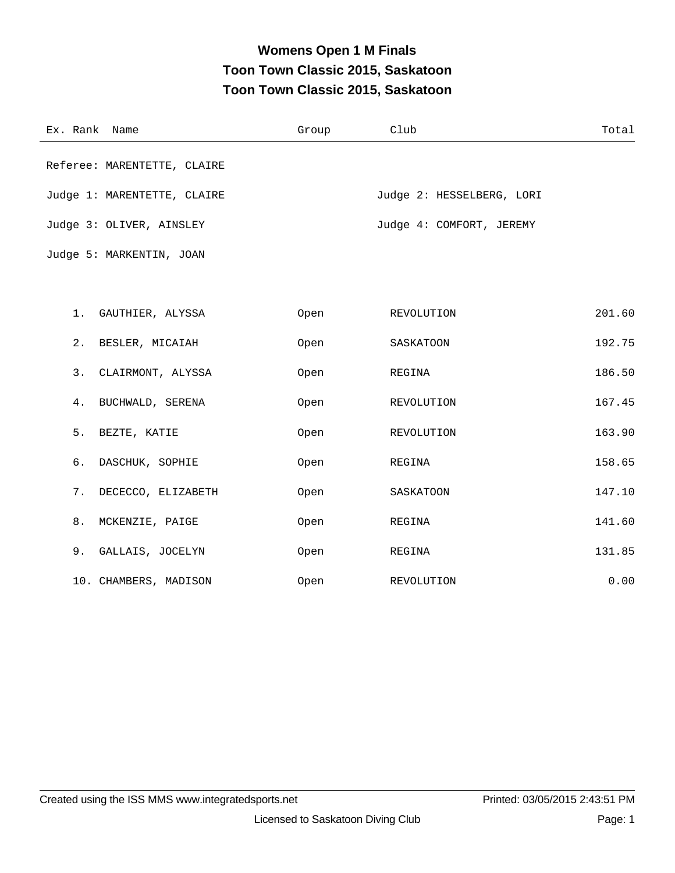# **Womens Open 1 M Finals Toon Town Classic 2015, Saskatoon Toon Town Classic 2015, Saskatoon**

| Ex. Rank Name               | Group | Club                      | Total  |
|-----------------------------|-------|---------------------------|--------|
| Referee: MARENTETTE, CLAIRE |       |                           |        |
| Judge 1: MARENTETTE, CLAIRE |       | Judge 2: HESSELBERG, LORI |        |
| Judge 3: OLIVER, AINSLEY    |       | Judge 4: COMFORT, JEREMY  |        |
| Judge 5: MARKENTIN, JOAN    |       |                           |        |
|                             |       |                           |        |
| 1.<br>GAUTHIER, ALYSSA      | Open  | REVOLUTION                | 201.60 |
| 2.<br>BESLER, MICAIAH       | Open  | SASKATOON                 | 192.75 |
| 3.<br>CLAIRMONT, ALYSSA     | Open  | REGINA                    | 186.50 |
| BUCHWALD, SERENA<br>4.      | Open  | REVOLUTION                | 167.45 |
| 5.<br>BEZTE, KATIE          | Open  | REVOLUTION                | 163.90 |
| б.<br>DASCHUK, SOPHIE       | Open  | REGINA                    | 158.65 |
| 7.<br>DECECCO, ELIZABETH    | Open  | SASKATOON                 | 147.10 |
| 8.<br>MCKENZIE, PAIGE       | Open  | REGINA                    | 141.60 |
| 9.<br>GALLAIS, JOCELYN      | Open  | REGINA                    | 131.85 |
| 10. CHAMBERS, MADISON       | Open  | REVOLUTION                | 0.00   |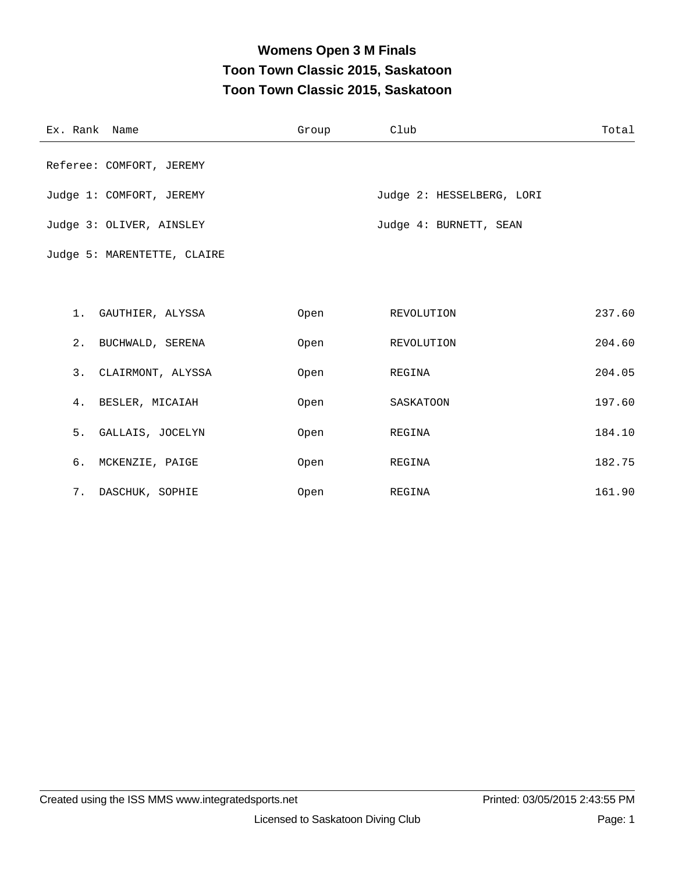# **Womens Open 3 M Finals Toon Town Classic 2015, Saskatoon Toon Town Classic 2015, Saskatoon**

| Ex. Rank Name               | Group | Club                      | Total  |
|-----------------------------|-------|---------------------------|--------|
| Referee: COMFORT, JEREMY    |       |                           |        |
| Judge 1: COMFORT, JEREMY    |       | Judge 2: HESSELBERG, LORI |        |
| Judge 3: OLIVER, AINSLEY    |       | Judge 4: BURNETT, SEAN    |        |
| Judge 5: MARENTETTE, CLAIRE |       |                           |        |
|                             |       |                           |        |
| 1. GAUTHIER, ALYSSA         | Open  | REVOLUTION                | 237.60 |
| 2. BUCHWALD, SERENA         | Open  | REVOLUTION                | 204.60 |
| 3. CLAIRMONT, ALYSSA        | Open  | REGINA                    | 204.05 |
| 4. BESLER, MICAIAH          | Open  | SASKATOON                 | 197.60 |
| 5. GALLAIS, JOCELYN         | Open  | REGINA                    | 184.10 |
| 6. MCKENZIE, PAIGE          | Open  | REGINA                    | 182.75 |
| 7. DASCHUK, SOPHIE          | Open  | REGINA                    | 161.90 |